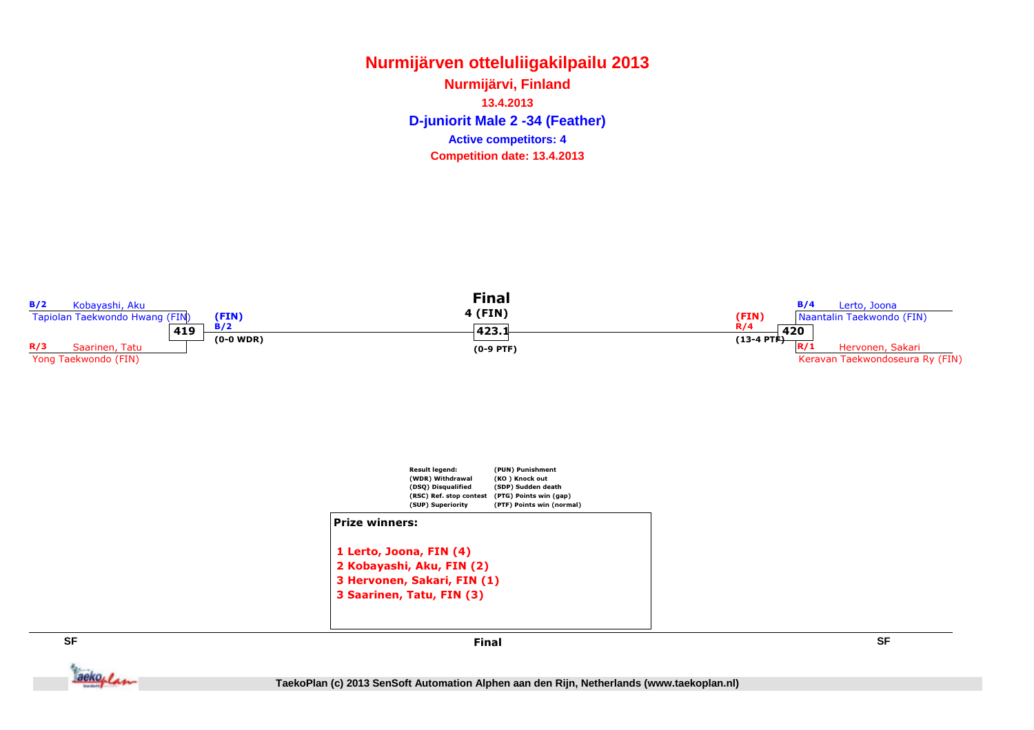**Nurmijärven otteluliigakilpailu 2013D-juniorit Male 2 -34 (Feather) Nurmijärvi, Finland13.4.2013Competition date: 13.4.2013 Active competitors: 4**







**SF**

Final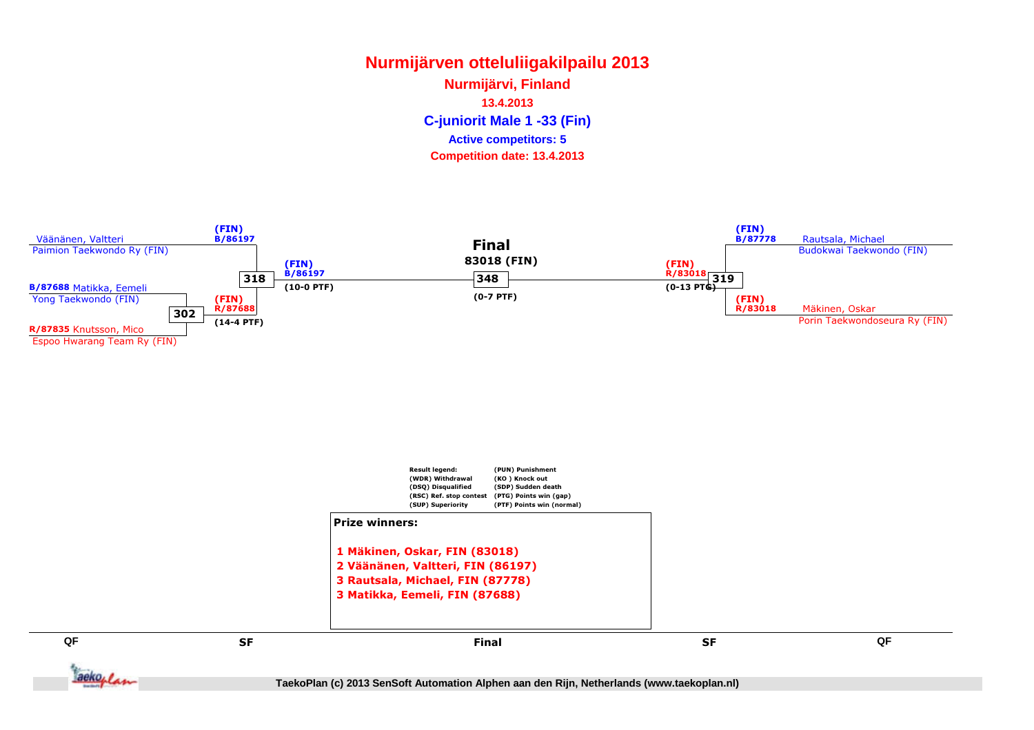**Nurmijärven otteluliigakilpailu 2013C-juniorit Male 1 -33 (Fin) Nurmijärvi, Finland13.4.2013Competition date: 13.4.2013 Active competitors: 5**

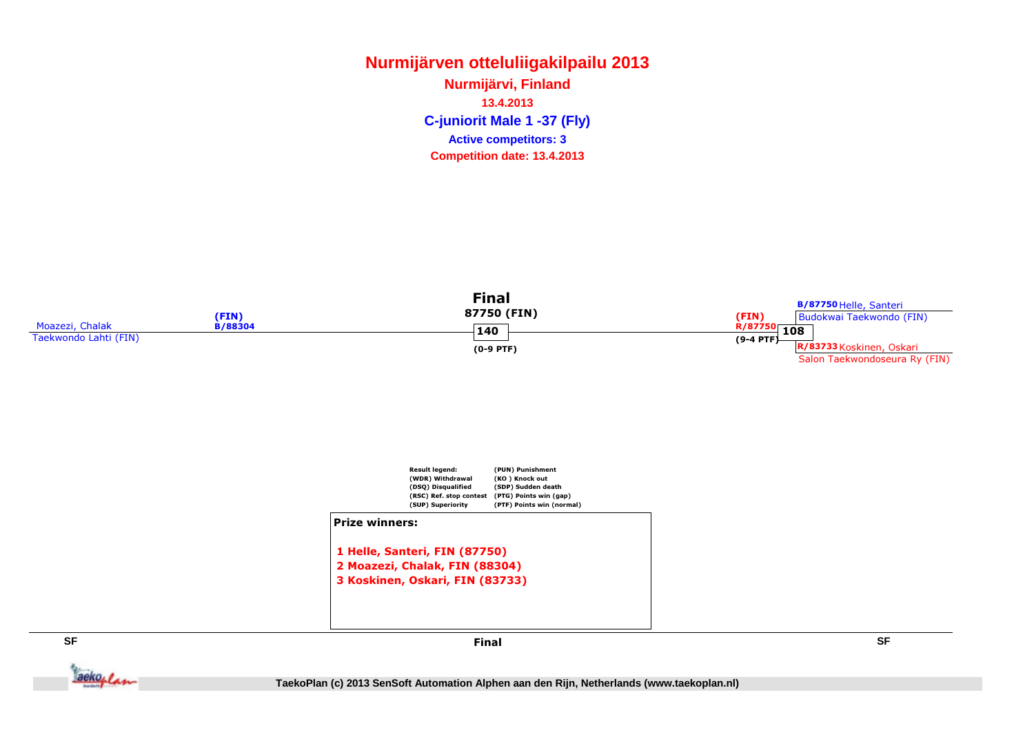**Nurmijärven otteluliigakilpailu 2013C-juniorit Male 1 -37 (Fly) Nurmijärvi, Finland13.4.2013Competition date: 13.4.2013 Active competitors: 3**





Final



**SF**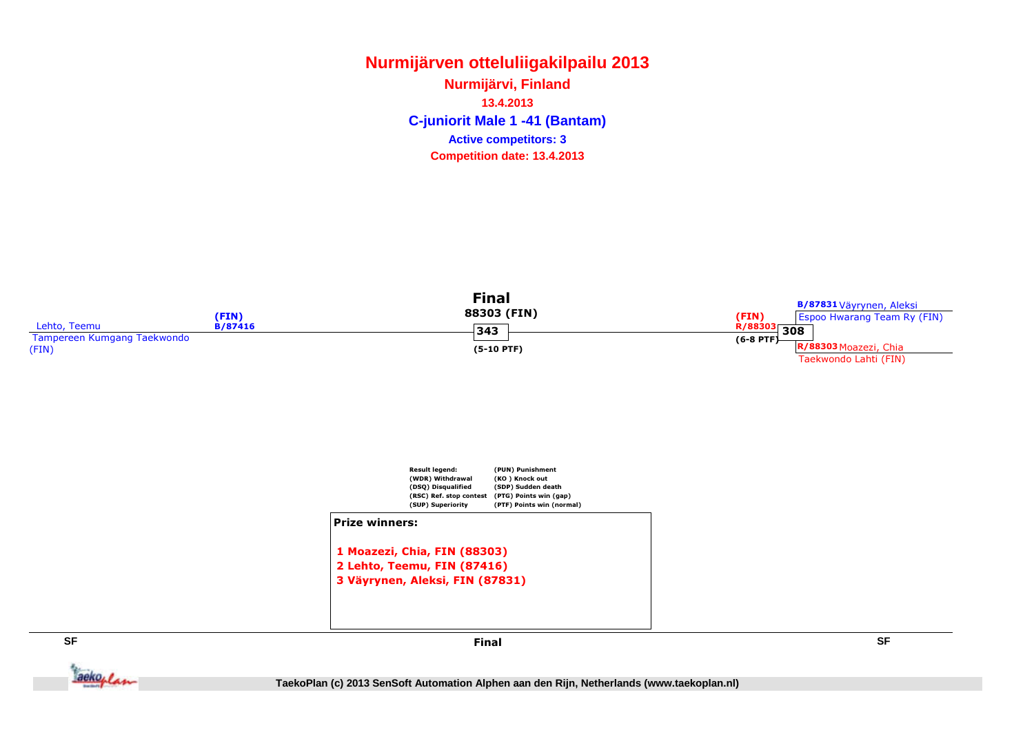**Nurmijärven otteluliigakilpailu 2013C-juniorit Male 1 -41 (Bantam) Nurmijärvi, Finland13.4.2013Competition date: 13.4.2013 Active competitors: 3**







**SF**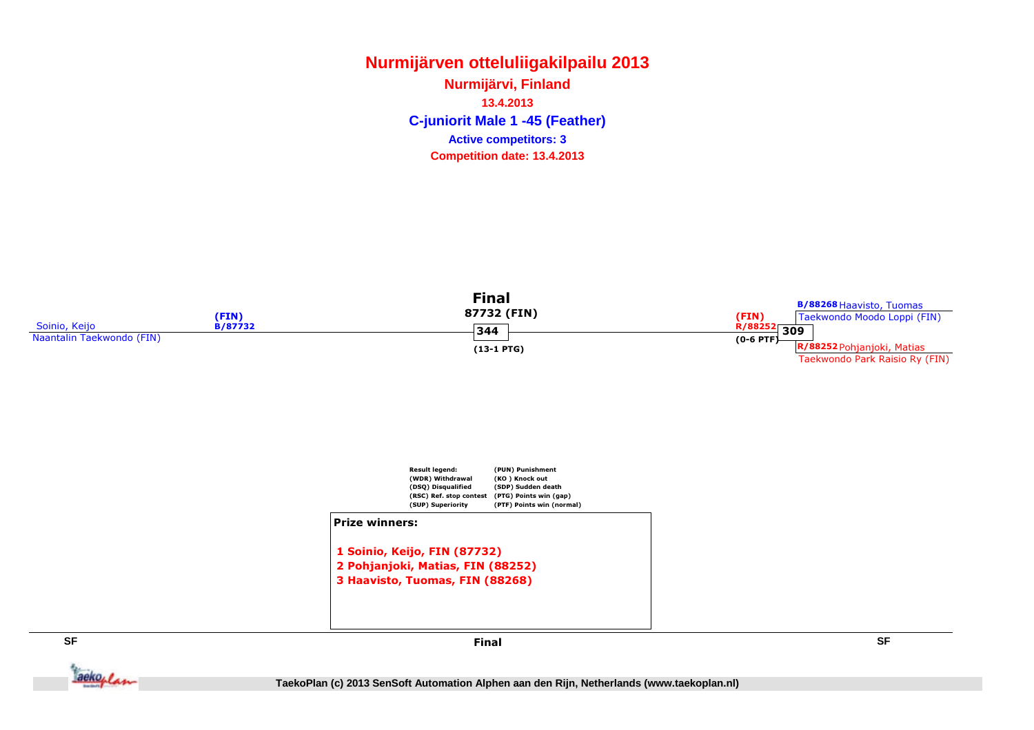**Nurmijärven otteluliigakilpailu 2013C-juniorit Male 1 -45 (Feather) Nurmijärvi, Finland13.4.2013Competition date: 13.4.2013 Active competitors: 3**







**SF**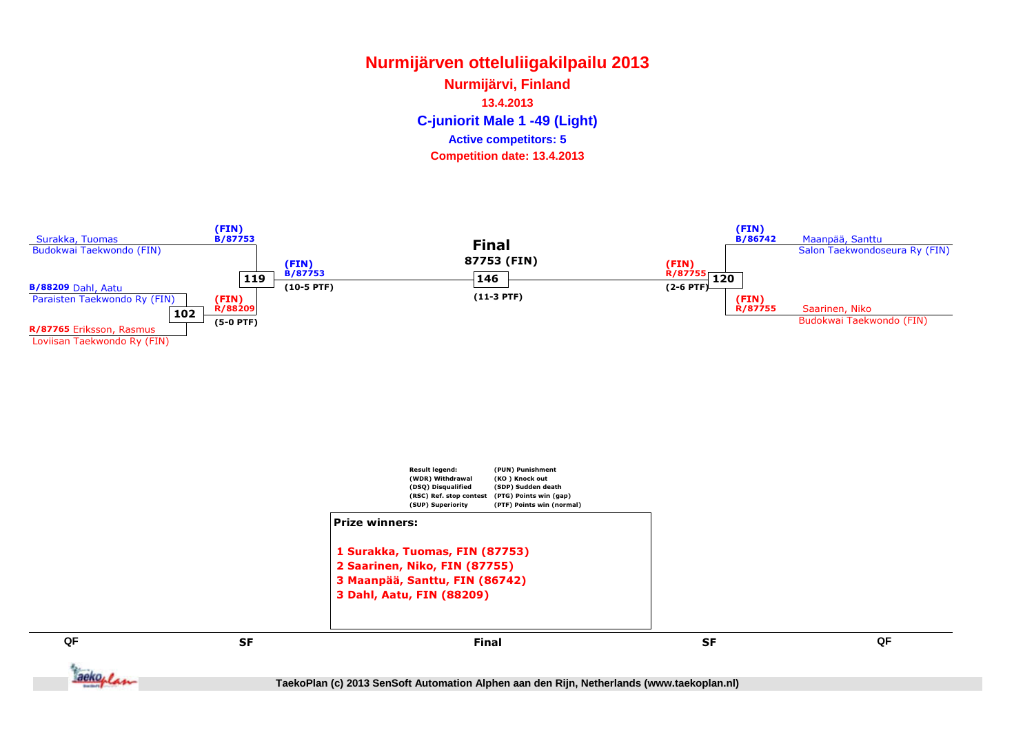**Nurmijärven otteluliigakilpailu 2013C-juniorit Male 1 -49 (Light) Nurmijärvi, Finland13.4.2013Competition date: 13.4.2013 Active competitors: 5**

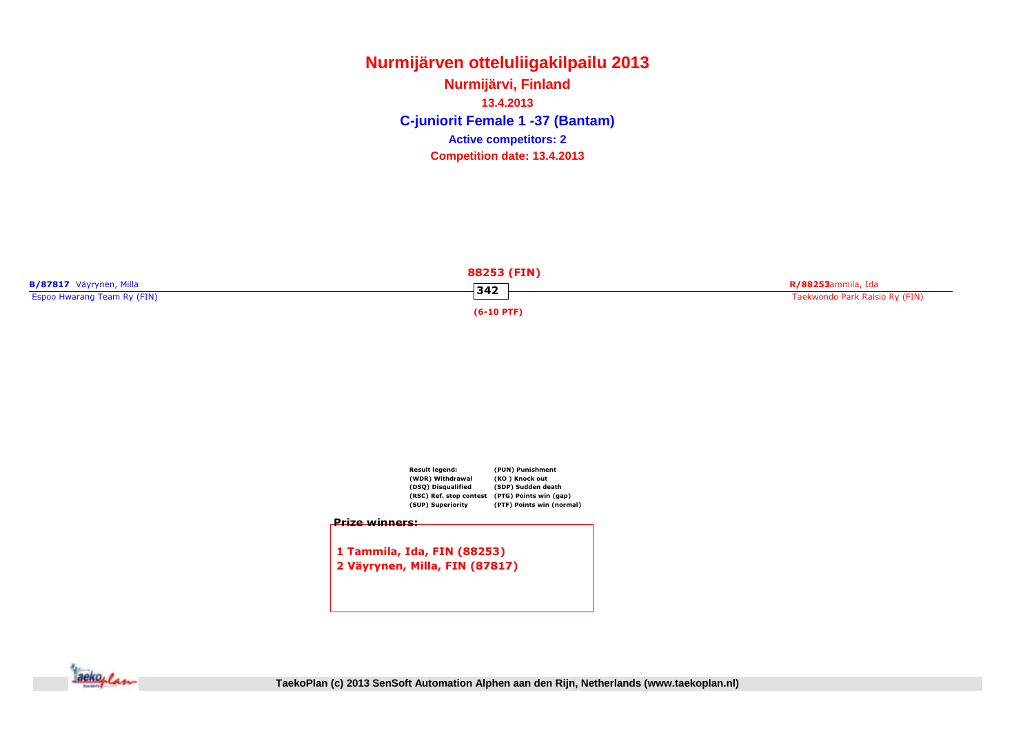**Nurmijärven otteluliigakilpailu 2013C-juniorit Female 1 -37 (Bantam) Nurmijärvi, Finland13.4.2013Competition date: 13.4.2013 Active competitors: 2**



| Result legend:          | (PUN) Punishment          |
|-------------------------|---------------------------|
| (WDR) Withdrawal        | (KO) Knock out            |
| (DSQ) Disqualified      | (SDP) Sudden death        |
| (RSC) Ref. stop contest | (PTG) Points win (gap)    |
| (SUP) Superiority       | (PTF) Points win (normal) |
|                         |                           |

#### Prize winners:

1 Tammila, Ida, FIN (88253)2 Väyrynen, Milla, FIN (87817)

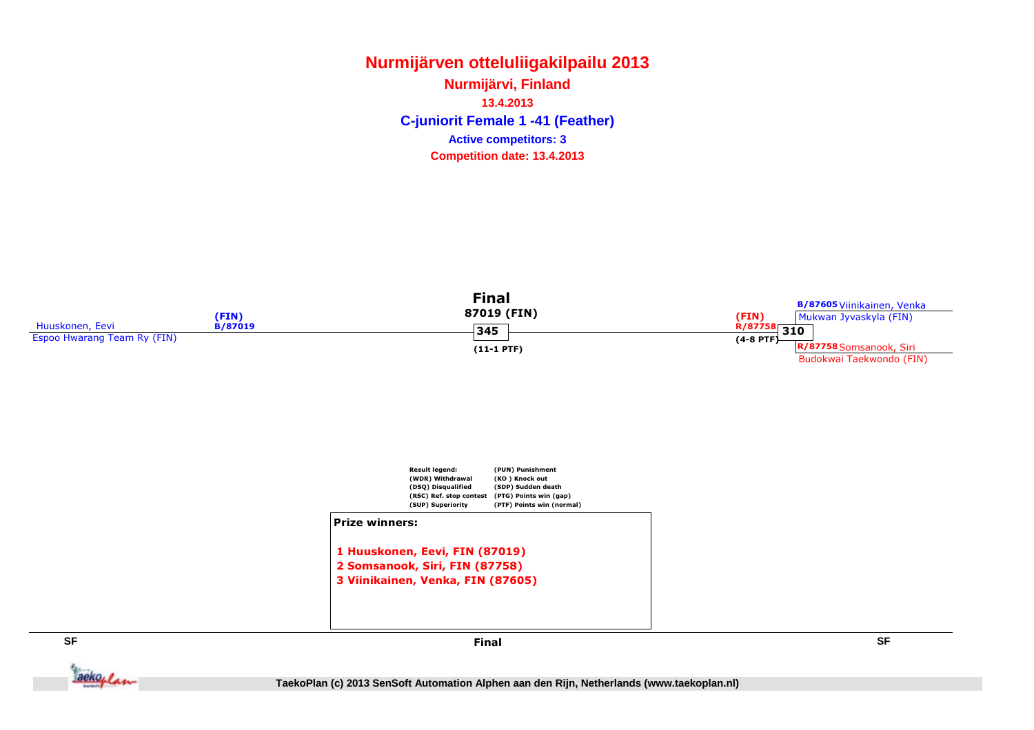**Nurmijärven otteluliigakilpailu 2013C-juniorit Female 1 -41 (Feather) Nurmijärvi, Finland13.4.2013Competition date: 13.4.2013 Active competitors: 3**







**SF**

Final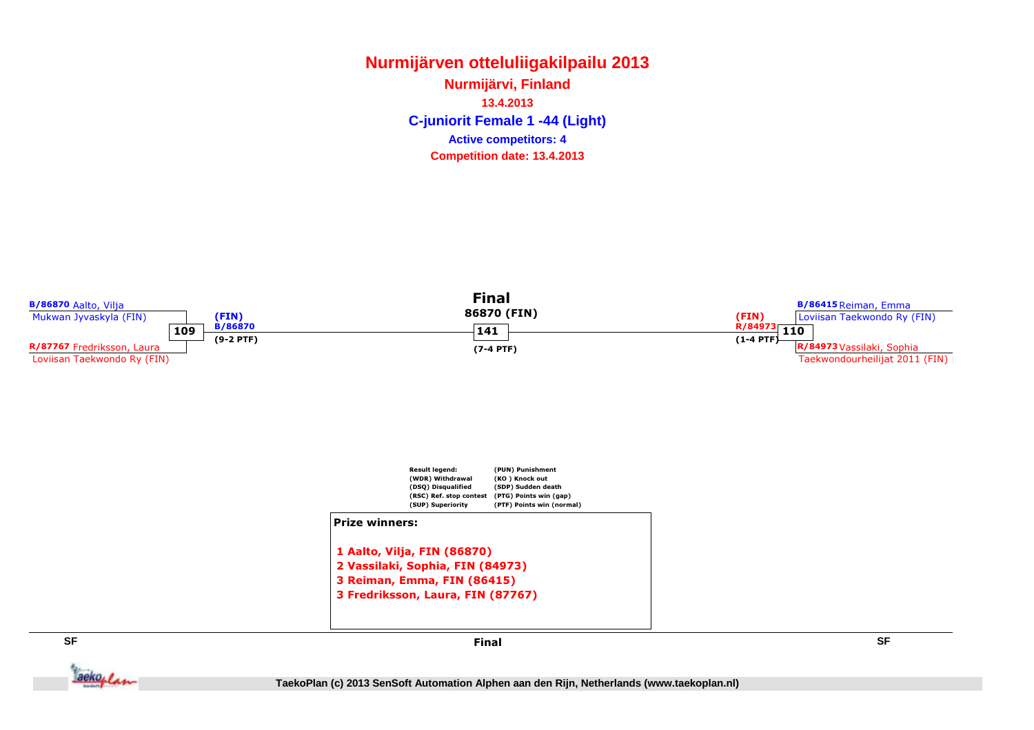**Nurmijärven otteluliigakilpailu 2013C-juniorit Female 1 -44 (Light) Nurmijärvi, Finland13.4.2013Competition date: 13.4.2013 Active competitors: 4**





Final



**SF**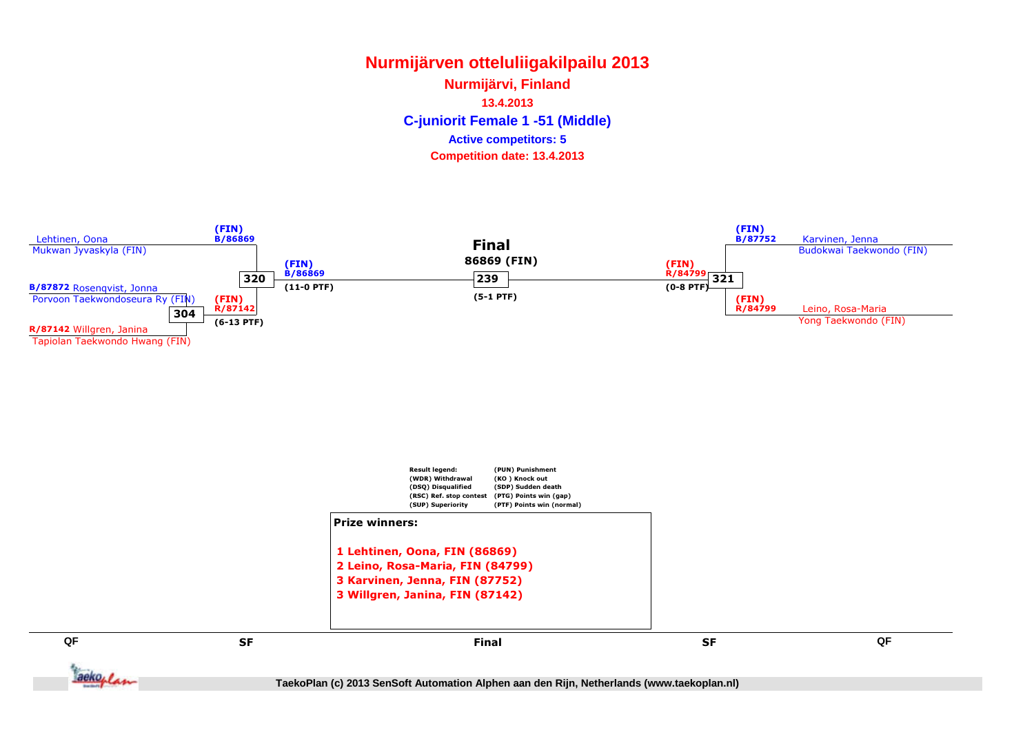**Nurmijärven otteluliigakilpailu 2013C-juniorit Female 1 -51 (Middle) Nurmijärvi, Finland13.4.2013Competition date: 13.4.2013 Active competitors: 5**

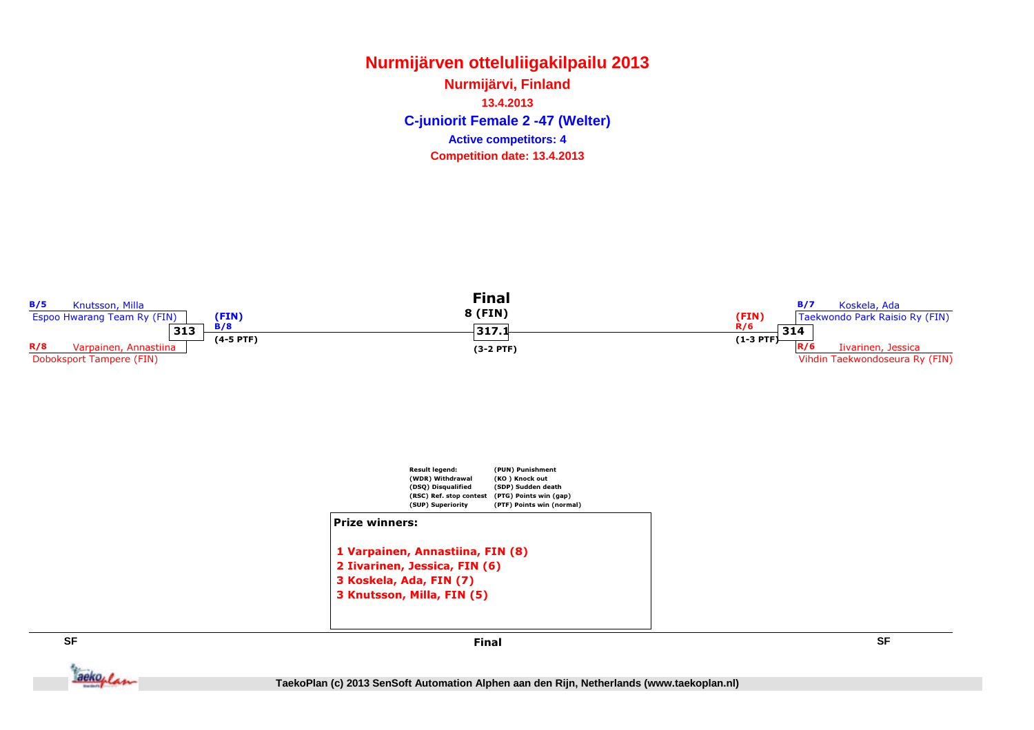**Nurmijärven otteluliigakilpailu 2013C-juniorit Female 2 -47 (Welter) Nurmijärvi, Finland13.4.2013Competition date: 13.4.2013 Active competitors: 4**





Final



**SF**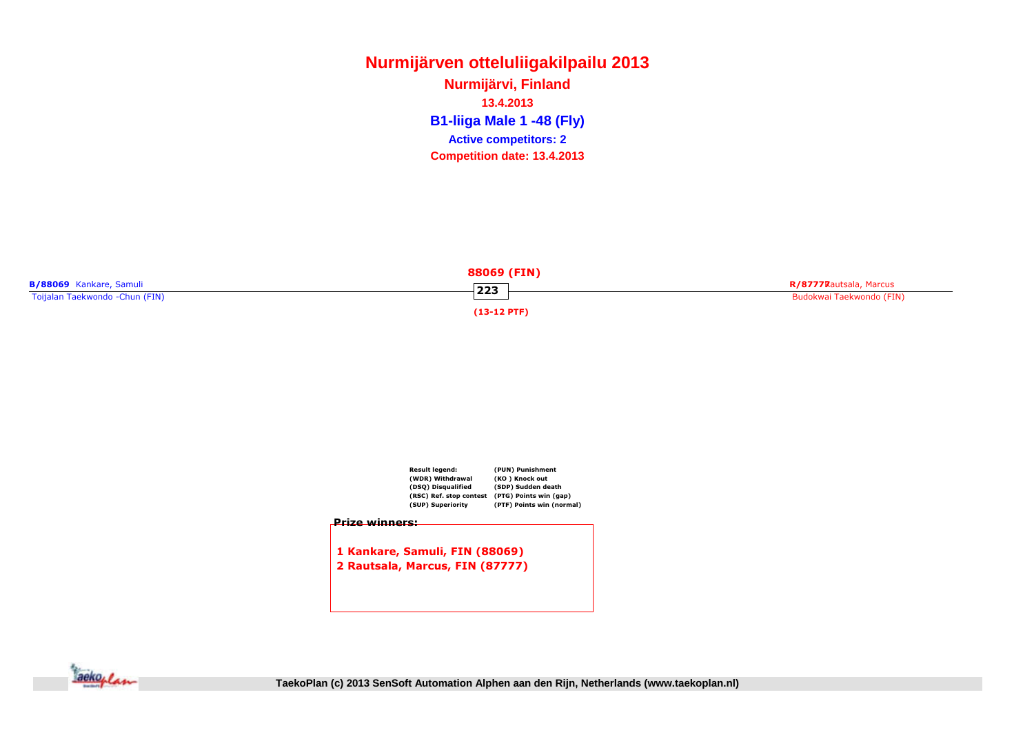**Nurmijärven otteluliigakilpailu 2013B1-liiga Male 1 -48 (Fly) Nurmijärvi, Finland13.4.2013Competition date: 13.4.2013 Active competitors: 2**

|                                | 88069 (FIN)      |                          |
|--------------------------------|------------------|--------------------------|
| B/88069 Kankare, Samuli        | $\overline{223}$ | R/8777Rautsala, Marcus   |
| Toijalan Taekwondo -Chun (FIN) |                  | Budokwai Taekwondo (FIN) |
|                                | $(13-12$ PTF)    |                          |

| Result legend:          | (PUN) Punishment          |
|-------------------------|---------------------------|
| (WDR) Withdrawal        | (KO) Knock out            |
| (DSQ) Disqualified      | (SDP) Sudden death        |
| (RSC) Ref. stop contest | (PTG) Points win (gap)    |
| (SUP) Superiority       | (PTF) Points win (normal) |
|                         |                           |

Prize winners:

1 Kankare, Samuli, FIN (88069)2 Rautsala, Marcus, FIN (87777)

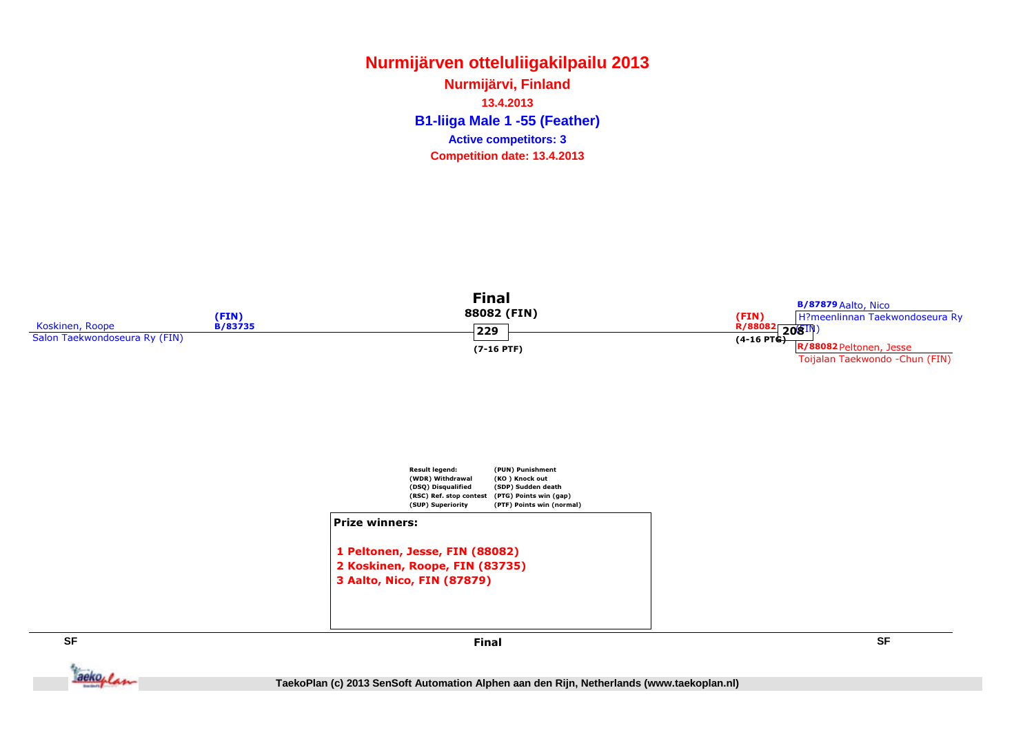**Nurmijärven otteluliigakilpailu 2013B1-liiga Male 1 -55 (Feather) Nurmijärvi, Finland13.4.2013Competition date: 13.4.2013 Active competitors: 3**

|                               | 'FIN)          | <b>Final</b><br>88082 (FIN) | <b>B/87879</b> Aalto, Nico<br>(FIN)<br>(H?meenlinnan Taekwondoseura Ry |
|-------------------------------|----------------|-----------------------------|------------------------------------------------------------------------|
| Koskinen, Roope               | <b>B/83735</b> | 229                         | R/88082<br>$+205^{\circ}$                                              |
| Salon Taekwondoseura Ry (FIN) |                |                             | $(4-16$ PTG)                                                           |
|                               |                | $(7-16$ PTF)                | <b>R/88082</b> Peltonen, Jesse                                         |
|                               |                |                             | Toijalan Taekwondo - Chun (FIN)                                        |





**SF**

Final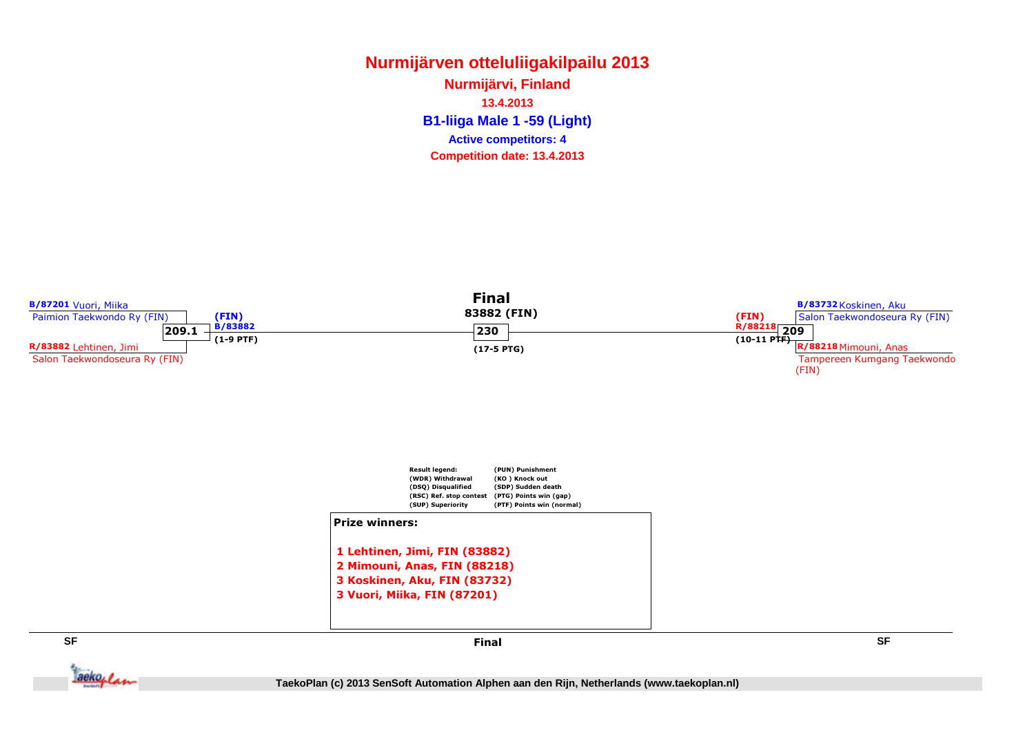**Nurmijärven otteluliigakilpailu 2013B1-liiga Male 1 -59 (Light) Nurmijärvi, Finland13.4.2013Competition date: 13.4.2013 Active competitors: 4**





Final



**SF**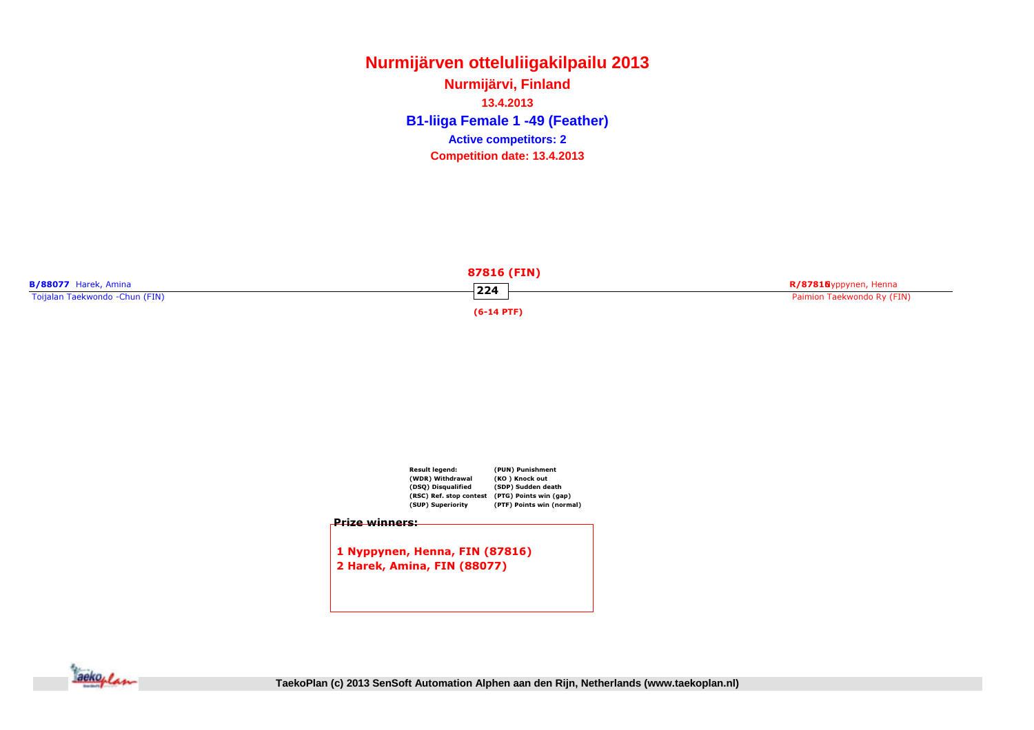**Nurmijärven otteluliigakilpailu 2013B1-liiga Female 1 -49 (Feather) Nurmijärvi, Finland13.4.2013Competition date: 13.4.2013 Active competitors: 2**

|                                | 87816 (FIN)  |                            |
|--------------------------------|--------------|----------------------------|
| <b>B/88077</b> Harek, Amina    | 224          | R/87816 yppynen, Henna     |
| Toijalan Taekwondo -Chun (FIN) |              | Paimion Taekwondo Ry (FIN) |
|                                | $(6-14$ PTF) |                            |

| <b>Result leaend:</b>   | (PUN) Punishment          |
|-------------------------|---------------------------|
| (WDR) Withdrawal        | (KO) Knock out            |
| (DSQ) Disqualified      | (SDP) Sudden death        |
| (RSC) Ref. stop contest | (PTG) Points win (gap)    |
| (SUP) Superiority       | (PTF) Points win (normal) |
|                         |                           |

#### Prize winners:

1 Nyppynen, Henna, FIN (87816)2 Harek, Amina, FIN (88077)

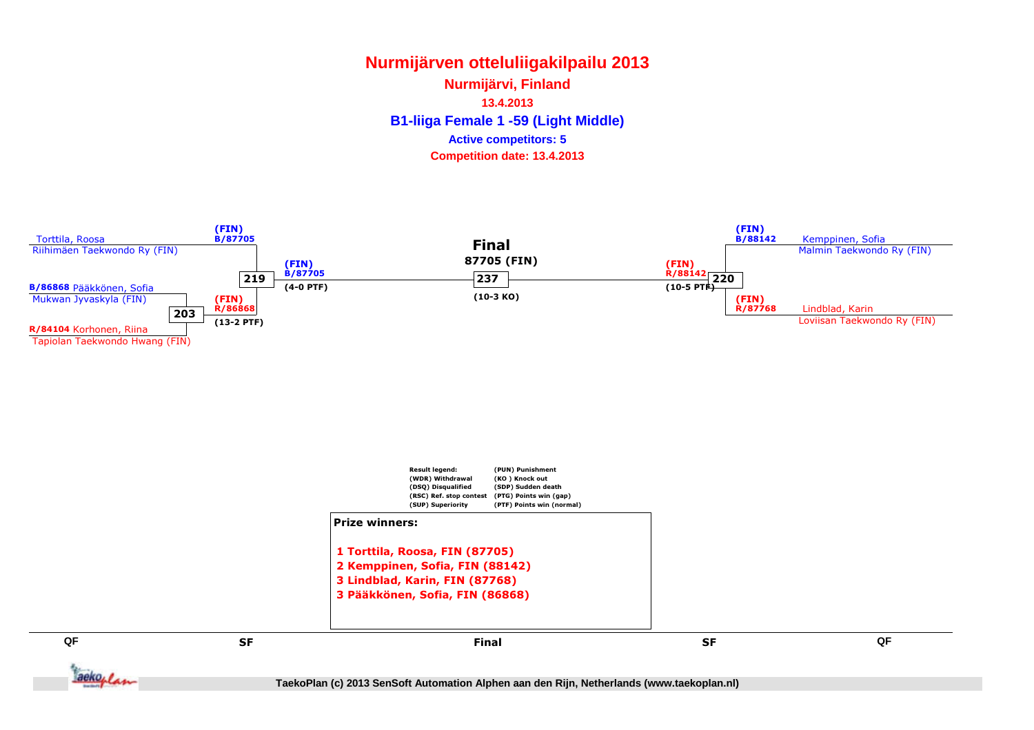**Nurmijärven otteluliigakilpailu 2013B1-liiga Female 1 -59 (Light Middle) Nurmijärvi, Finland13.4.2013Competition date: 13.4.2013 Active competitors: 5**

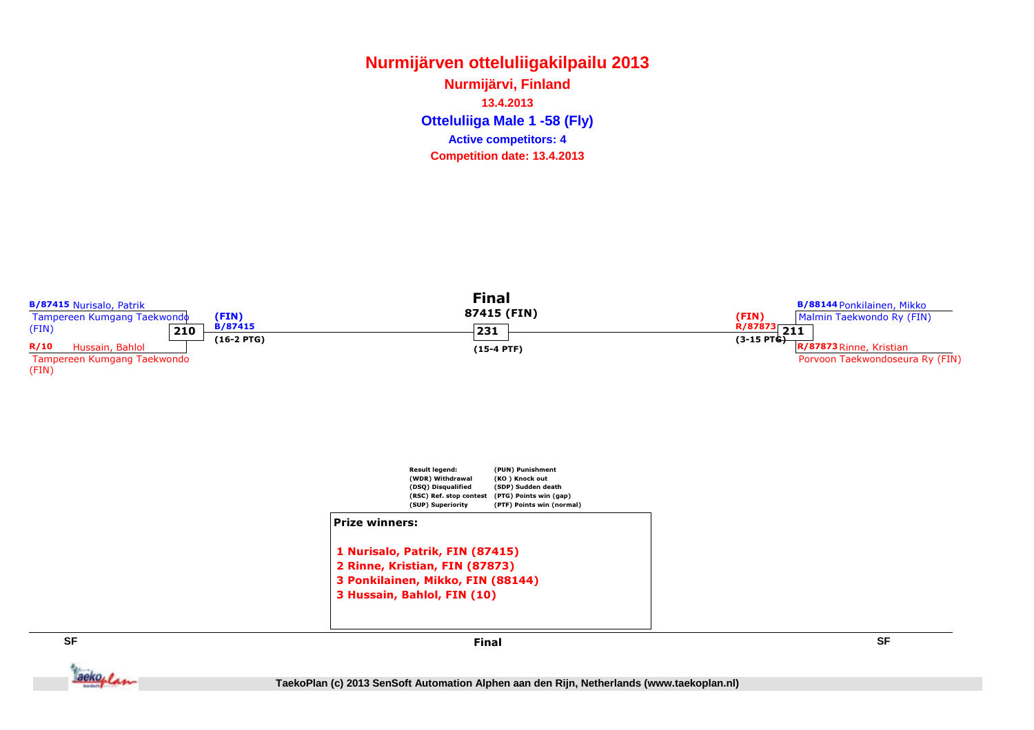**Nurmijärven otteluliigakilpailu 2013Otteluliiga Male 1 -58 (Fly) Nurmijärvi, Finland13.4.2013Competition date: 13.4.2013 Active competitors: 4**





Final



**SF**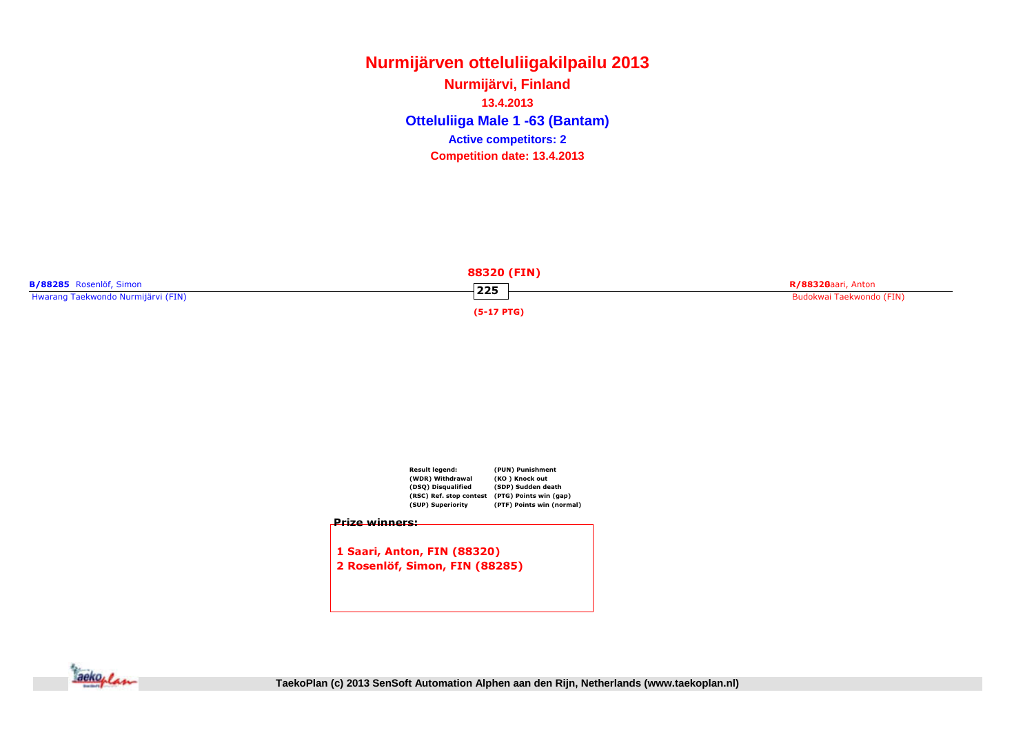**Nurmijärven otteluliigakilpailu 2013Otteluliiga Male 1 -63 (Bantam) Nurmijärvi, Finland13.4.2013Competition date: 13.4.2013 Active competitors: 2**

|                                    | 88320 (FIN)   |                          |
|------------------------------------|---------------|--------------------------|
| B/88285 Rosenlöf, Simon            | $\boxed{225}$ | R/88320aari, Anton       |
| Hwarang Taekwondo Nurmijärvi (FIN) |               | Budokwai Taekwondo (FIN) |
|                                    | $(5-17$ PTG)  |                          |

| Result legend:          | (PUN) Punishment          |
|-------------------------|---------------------------|
| (WDR) Withdrawal        | (KO) Knock out            |
| (DSQ) Disqualified      | (SDP) Sudden death        |
| (RSC) Ref. stop contest | (PTG) Points win (gap)    |
| (SUP) Superiority       | (PTF) Points win (normal) |
|                         |                           |

#### Prize winners:

1 Saari, Anton, FIN (88320)2 Rosenlöf, Simon, FIN (88285)

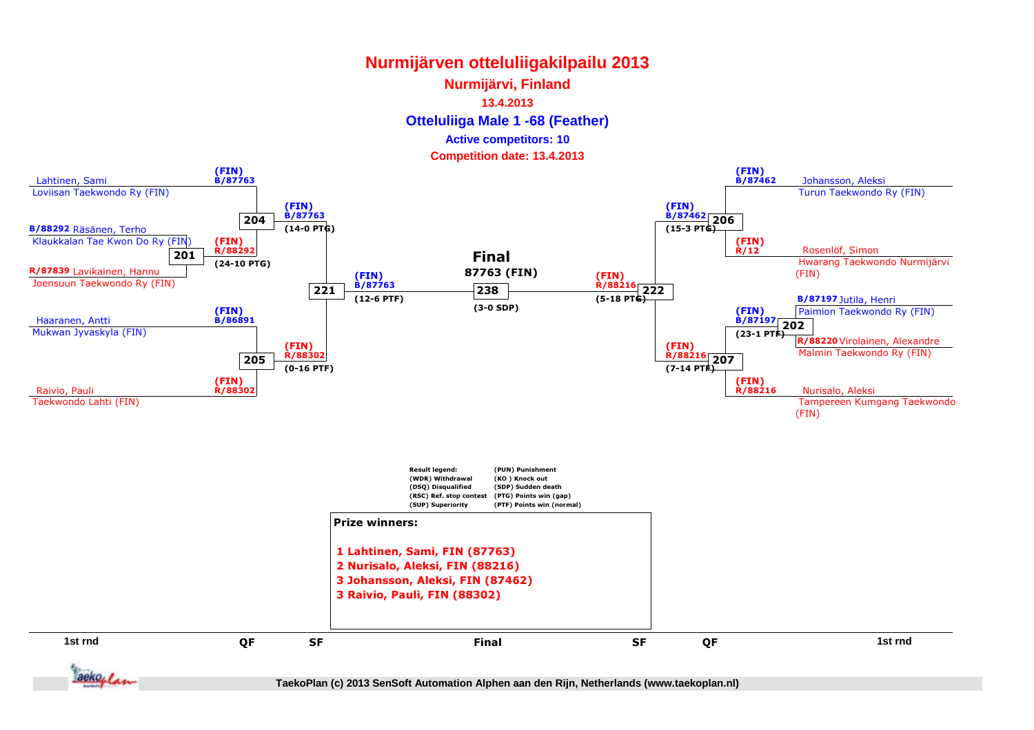**Nurmijärvi, Finland**

**13.4.2013**

**Otteluliiga Male 1 -68 (Feather)**

#### **Active competitors: 10**

**Competition date: 13.4.2013**

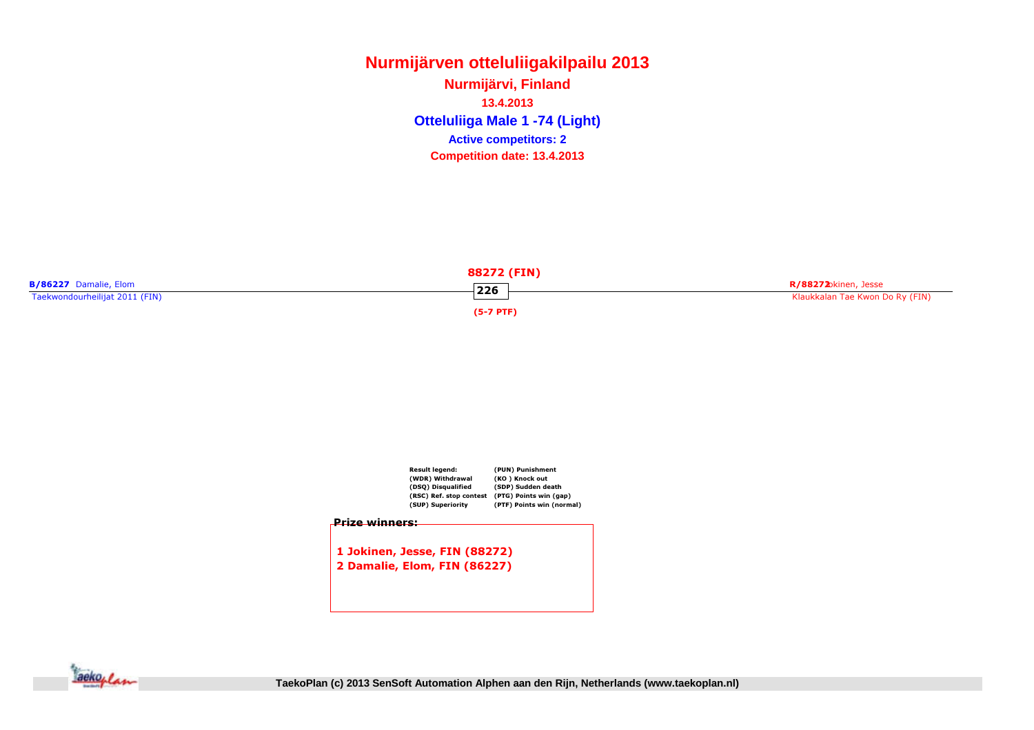**Nurmijärven otteluliigakilpailu 2013Otteluliiga Male 1 -74 (Light) Nurmijärvi, Finland13.4.2013Competition date: 13.4.2013 Active competitors: 2**

|                                | 88272 (FIN)      |                                 |
|--------------------------------|------------------|---------------------------------|
| <b>B/86227</b> Damalie, Elom   | $\overline{226}$ | R/88272bkinen, Jesse            |
| Taekwondourheilijat 2011 (FIN) |                  | Klaukkalan Tae Kwon Do Ry (FIN) |
|                                | $(5-7$ PTF)      |                                 |



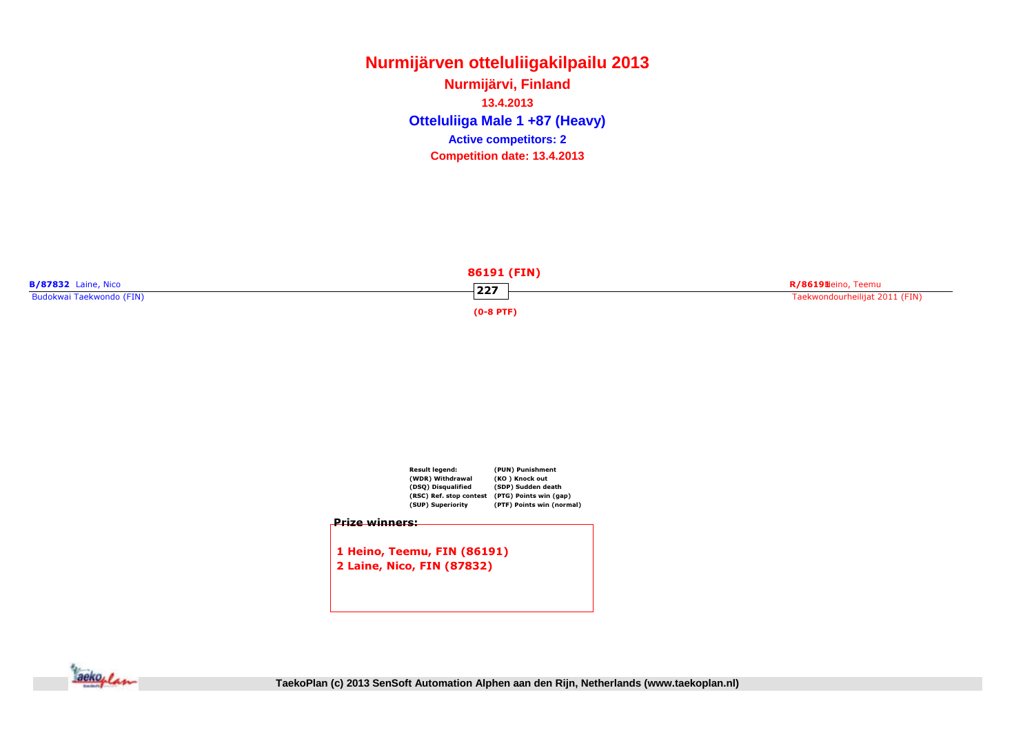**Nurmijärven otteluliigakilpailu 2013Otteluliiga Male 1 +87 (Heavy) Nurmijärvi, Finland13.4.2013Competition date: 13.4.2013 Active competitors: 2**

|                            | 86191 (FIN)      |                                |
|----------------------------|------------------|--------------------------------|
| <b>B/87832</b> Laine, Nico | $\overline{227}$ | R/8619 Heino, Teemu            |
| Budokwai Taekwondo (FIN)   | $(0-8$ PTF)      | Taekwondourheilijat 2011 (FIN) |

|                       | <b>Result leaend:</b>       | (PUN) Punishment          |
|-----------------------|-----------------------------|---------------------------|
|                       | (WDR) Withdrawal            | (KO) Knock out            |
|                       | (DSQ) Disqualified          | (SDP) Sudden death        |
|                       | (RSC) Ref. stop contest     | (PTG) Points win (gap)    |
|                       | (SUP) Superiority           | (PTF) Points win (normal) |
| <b>Prize winners:</b> |                             |                           |
|                       | 1 Heino, Teemu, FIN (86191) |                           |
|                       | 2 Laine, Nico, FIN (87832)  |                           |



**TaekoPlan (c) 2013 SenSoft Automation Alphen aan den Rijn, Netherlands (www.taekoplan.nl)**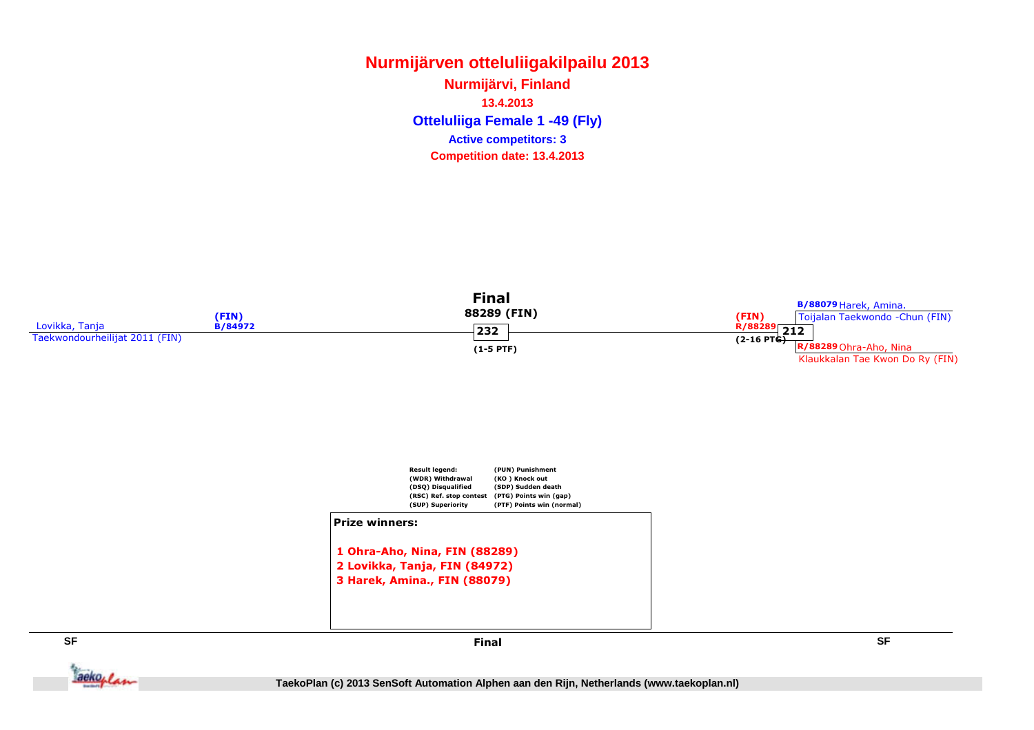**Nurmijärven otteluliigakilpailu 2013Otteluliiga Female 1 -49 (Fly) Nurmijärvi, Finland13.4.2013Competition date: 13.4.2013 Active competitors: 3**





Final



**SFSF**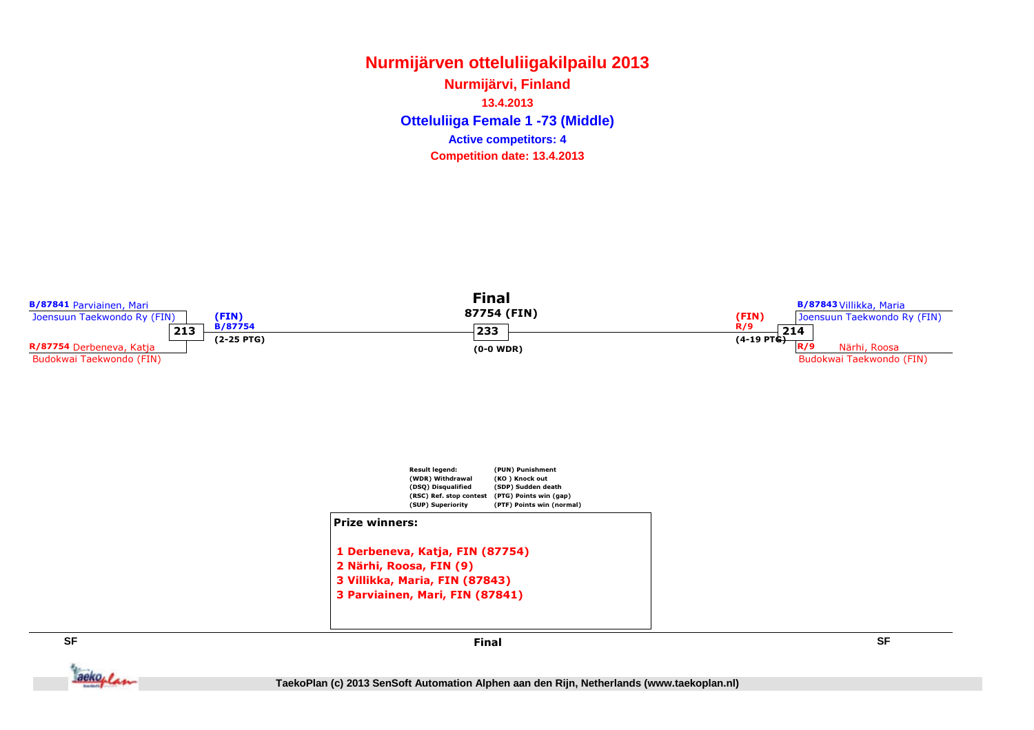**Nurmijärven otteluliigakilpailu 2013Otteluliiga Female 1 -73 (Middle) Nurmijärvi, Finland13.4.2013Competition date: 13.4.2013 Active competitors: 4**





Final



**SF**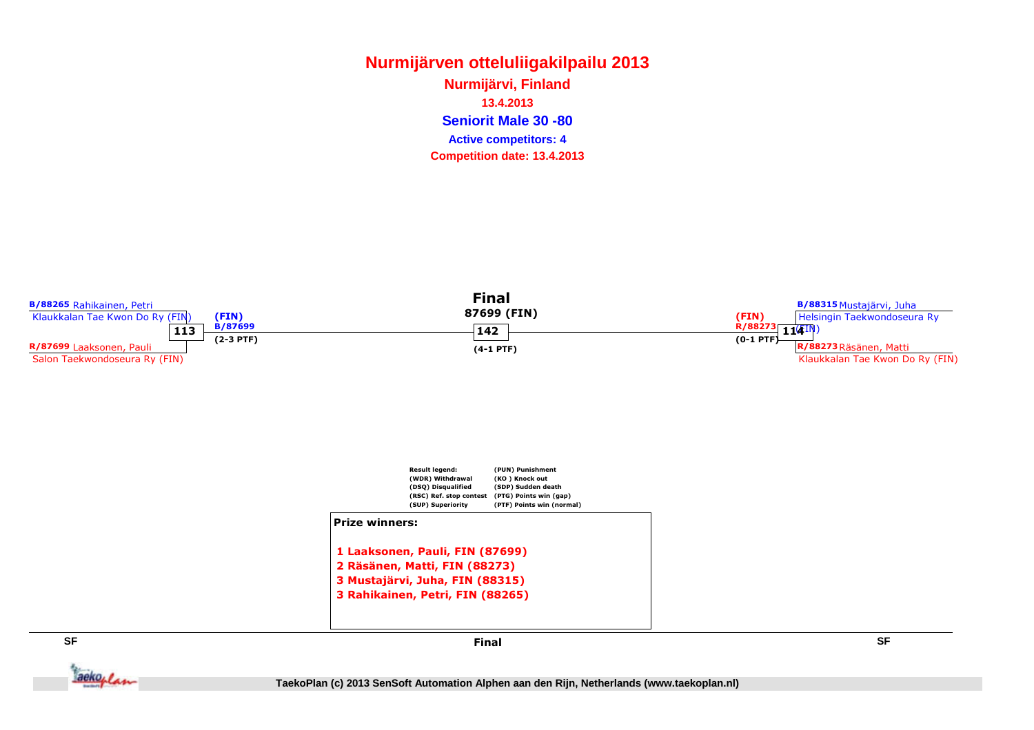**Nurmijärven otteluliigakilpailu 2013Seniorit Male 30 -80 Active competitors: 4Nurmijärvi, Finland13.4.2013Competition date: 13.4.2013**





Final



**SF**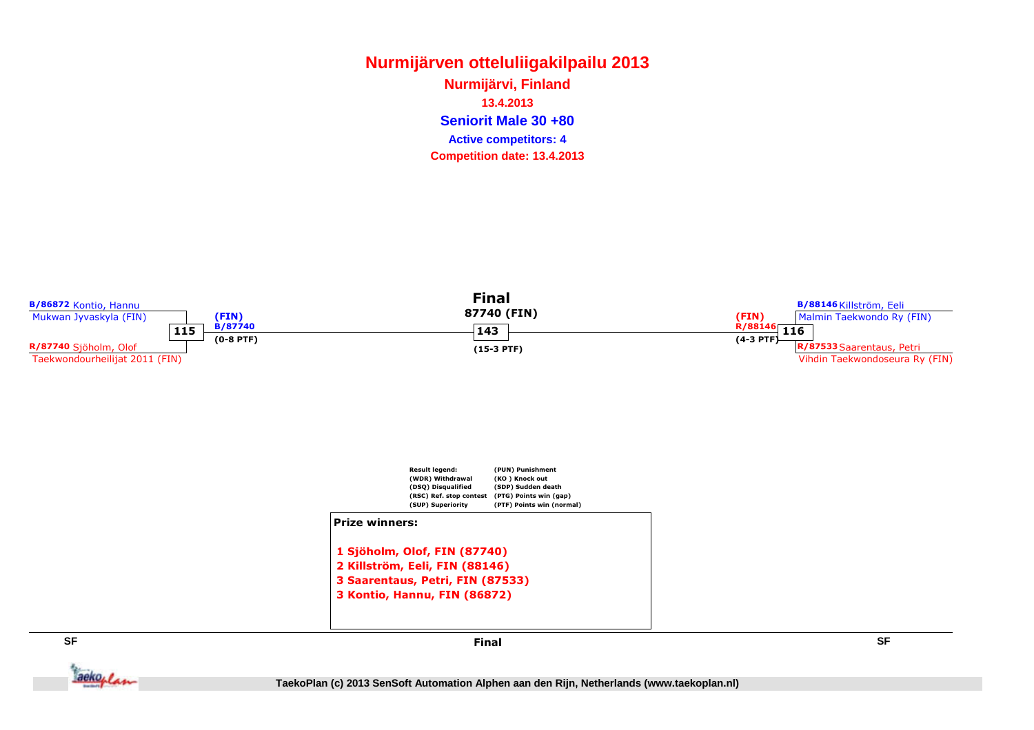**Nurmijärven otteluliigakilpailu 2013Seniorit Male 30 +80 Active competitors: 4Nurmijärvi, Finland13.4.2013Competition date: 13.4.2013**





Final



**SF**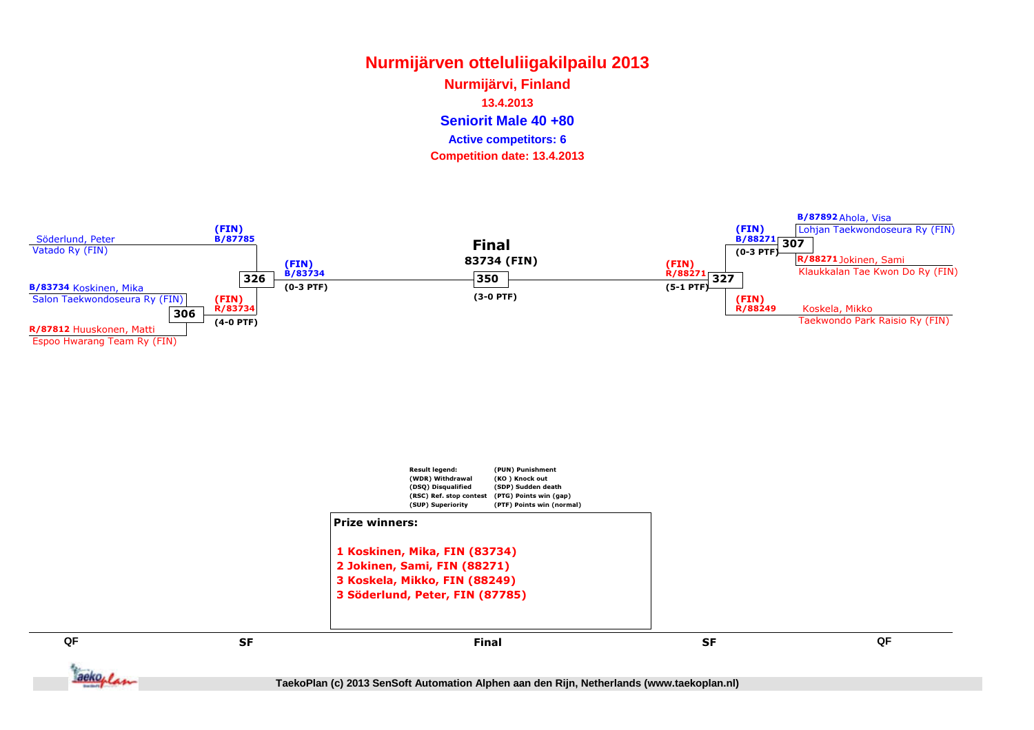#### **Nurmijärven otteluliigakilpailu 2013Seniorit Male 40 +80 Active competitors: 6Nurmijärvi, Finland13.4.2013Competition date: 13.4.2013**



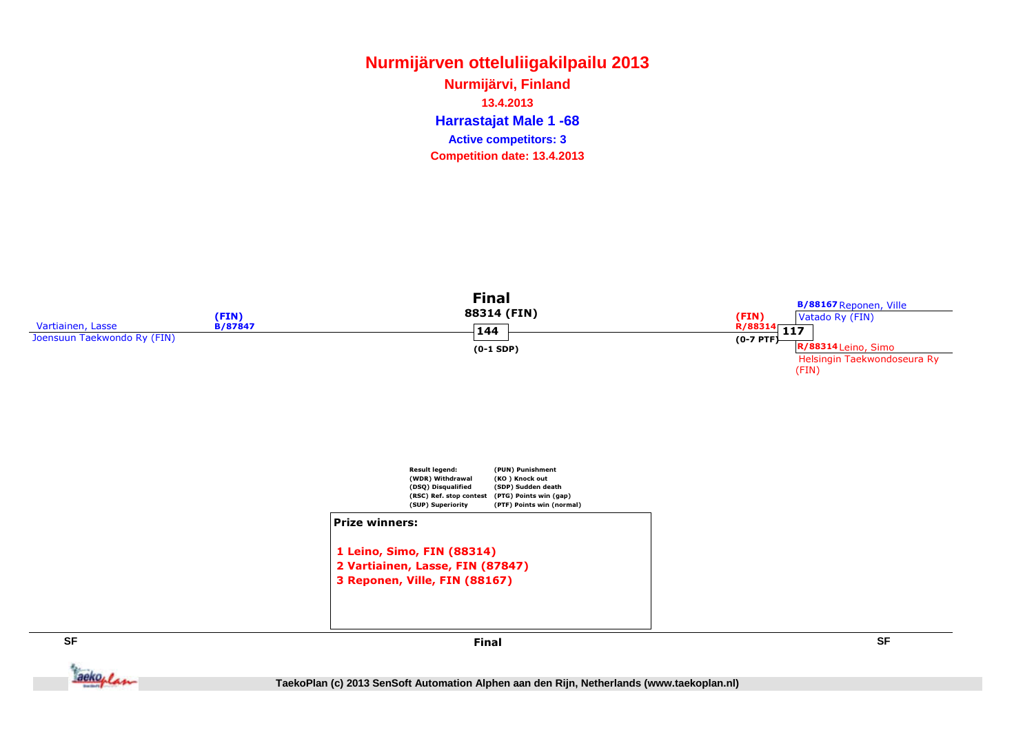**Nurmijärven otteluliigakilpailu 2013Harrastajat Male 1 -68 Nurmijärvi, Finland13.4.2013Competition date: 13.4.2013 Active competitors: 3**





Final



**SFSF**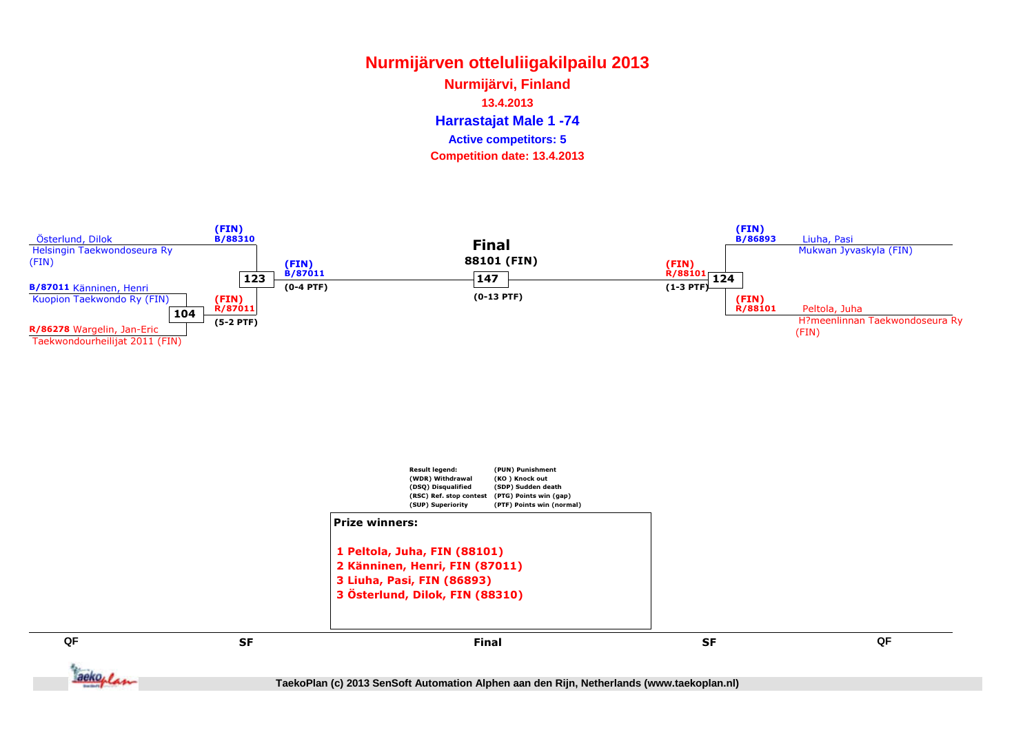**Nurmijärven otteluliigakilpailu 2013Harrastajat Male 1 -74 Nurmijärvi, Finland13.4.2013Competition date: 13.4.2013 Active competitors: 5**

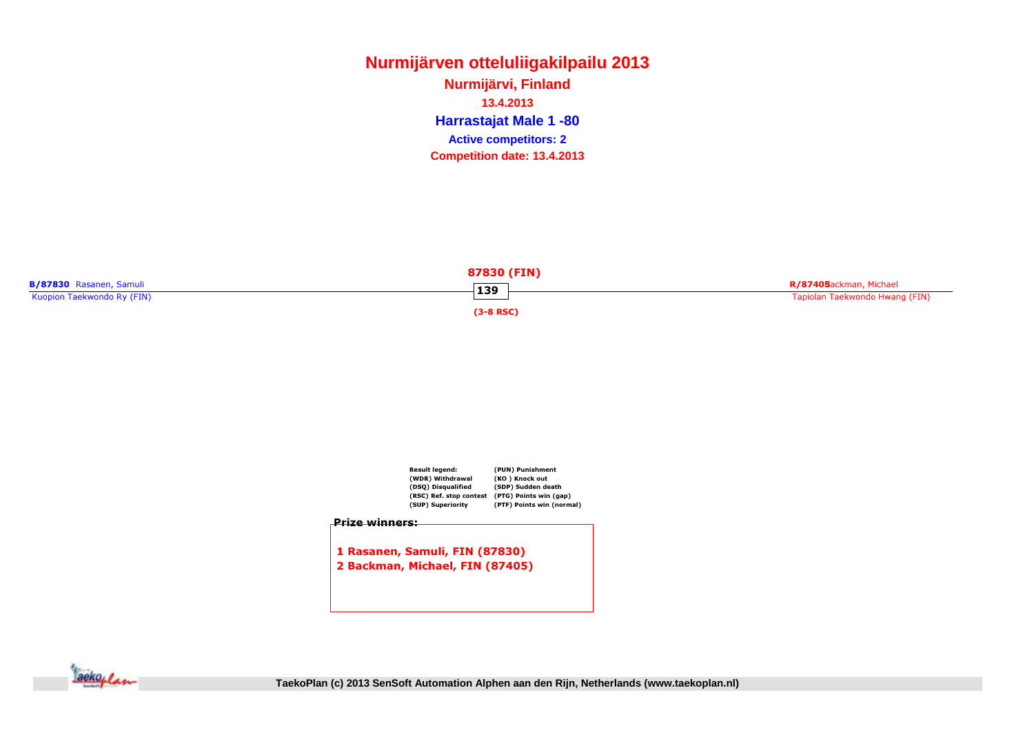**Nurmijärven otteluliigakilpailu 2013Harrastajat Male 1 -80 Nurmijärvi, Finland13.4.2013Competition date: 13.4.2013 Active competitors: 2**

|                                                       | 87830 (FIN) |                                                          |
|-------------------------------------------------------|-------------|----------------------------------------------------------|
| B/87830 Rasanen, Samuli<br>Kuopion Taekwondo Ry (FIN) | 139         | R/8740Backman, Michael<br>Tapiolan Taekwondo Hwang (FIN) |
|                                                       | $(3-8$ RSC) |                                                          |

| Result legend:          | (PUN) Punishment          |
|-------------------------|---------------------------|
| (WDR) Withdrawal        | (KO) Knock out            |
| (DSQ) Disqualified      | (SDP) Sudden death        |
| (RSC) Ref. stop contest | (PTG) Points win (gap)    |
| (SUP) Superiority       | (PTF) Points win (normal) |
|                         |                           |

#### Prize winners:

1 Rasanen, Samuli, FIN (87830)2 Backman, Michael, FIN (87405)

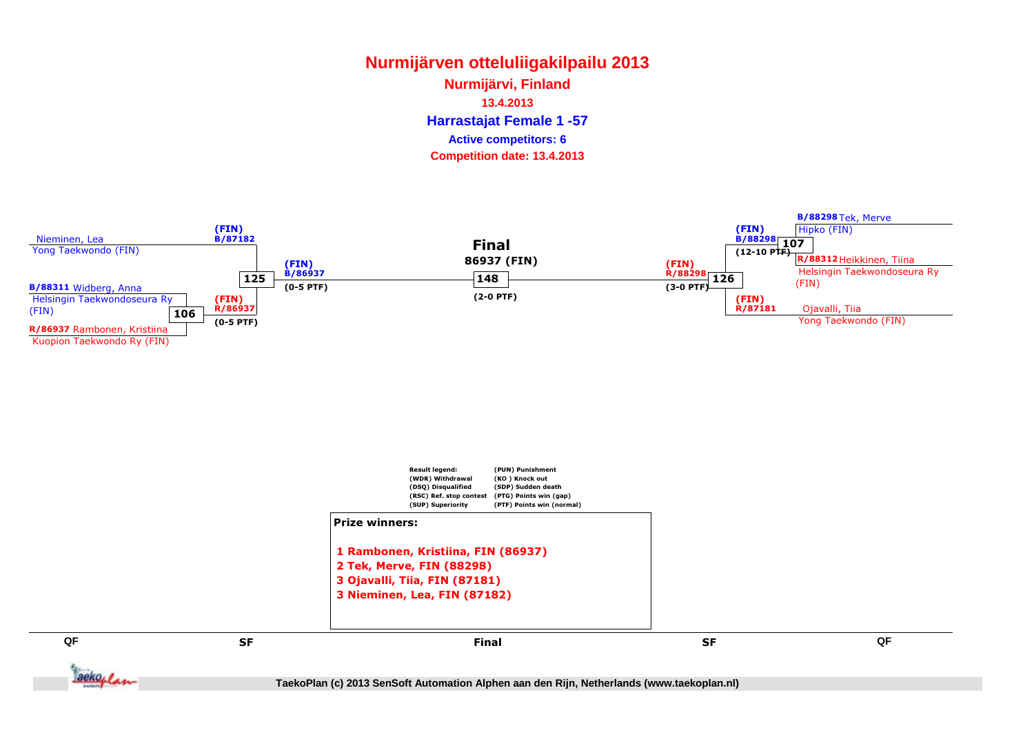**Nurmijärven otteluliigakilpailu 2013Harrastajat Female 1 -57 Nurmijärvi, Finland13.4.2013Competition date: 13.4.2013 Active competitors: 6**





#### **TaekoPlan (c) 2013 SenSoft Automation Alphen aan den Rijn, Netherlands (www.taekoplan.nl)**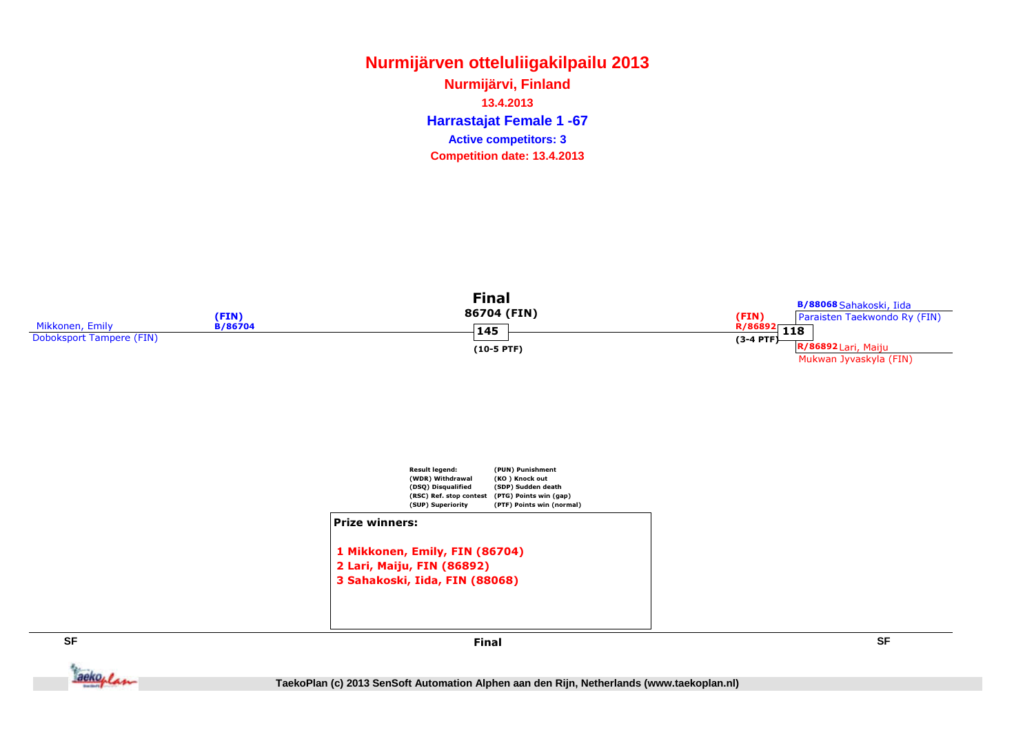**Nurmijärven otteluliigakilpailu 2013Harrastajat Female 1 -67 Nurmijärvi, Finland13.4.2013Competition date: 13.4.2013 Active competitors: 3**





Final



**SF**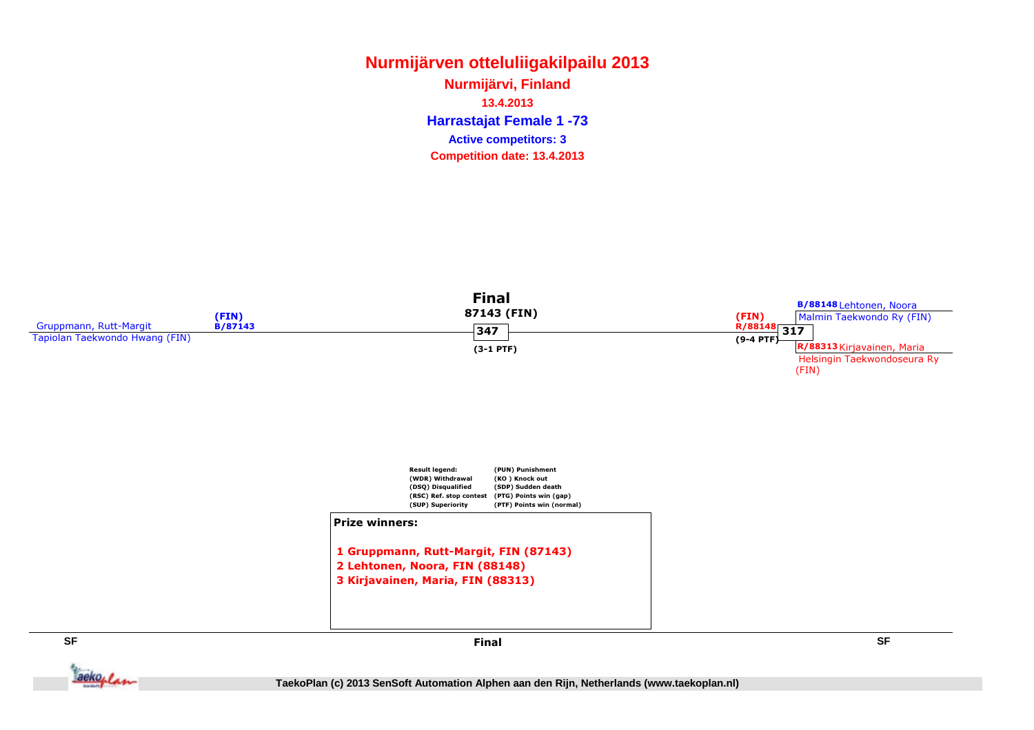**Nurmijärven otteluliigakilpailu 2013Harrastajat Female 1 -73 Nurmijärvi, Finland13.4.2013Competition date: 13.4.2013 Active competitors: 3**







**SF**

Final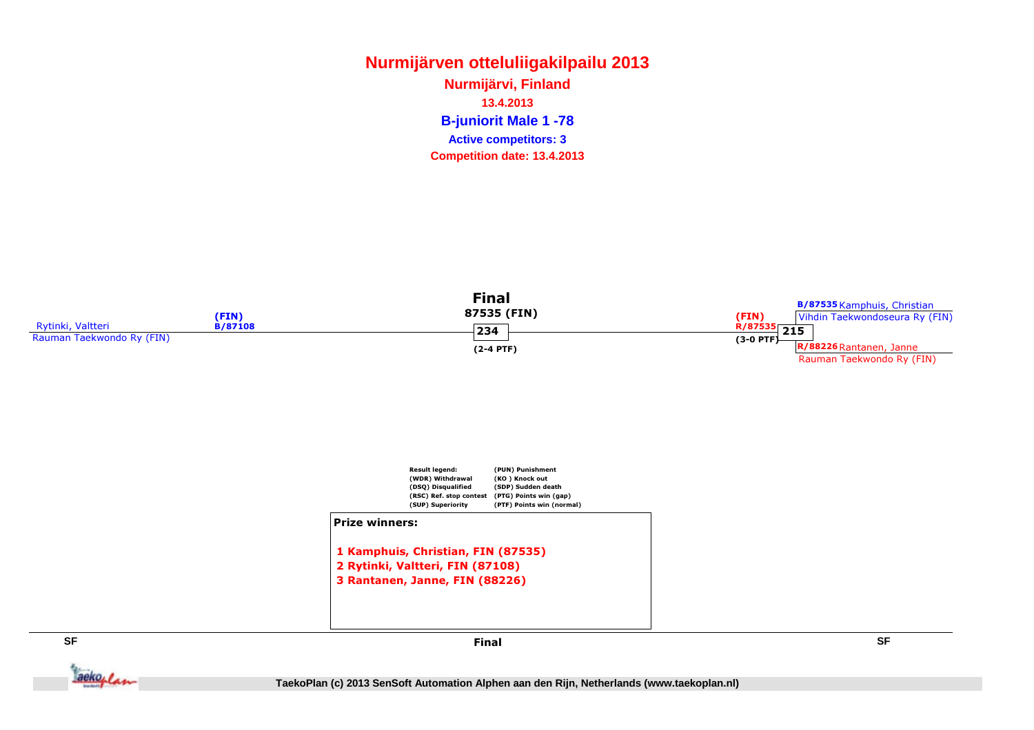**Nurmijärven otteluliigakilpailu 2013B-juniorit Male 1 -78 Active competitors: 3Nurmijärvi, Finland13.4.2013Competition date: 13.4.2013**







Final

**SF**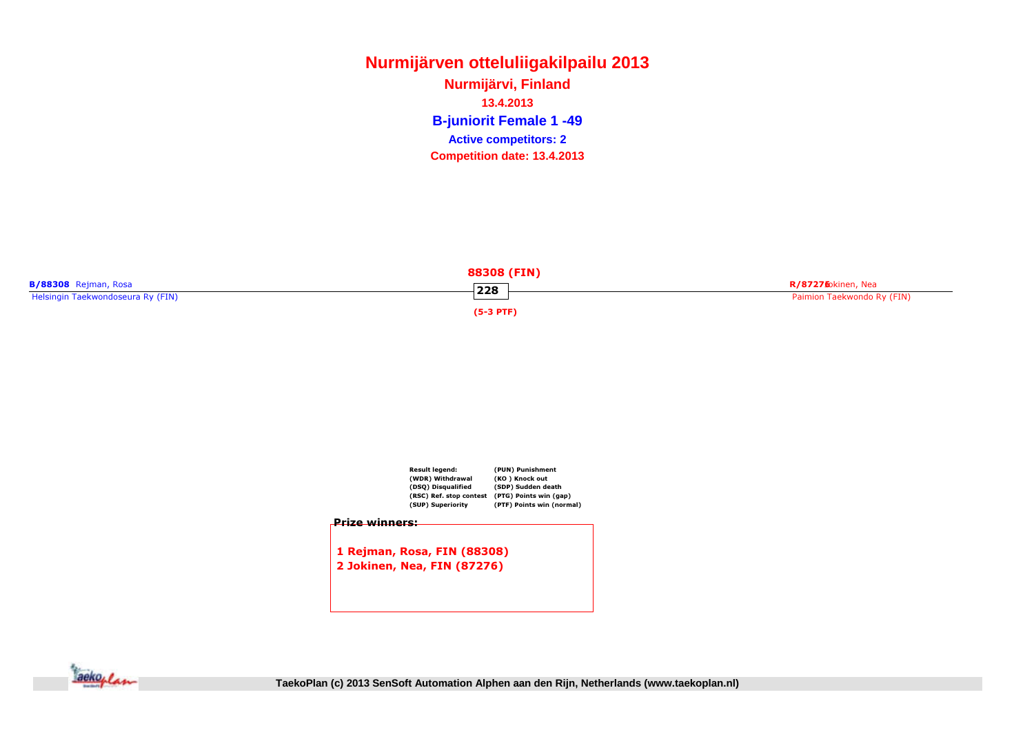**Nurmijärven otteluliigakilpailu 2013B-juniorit Female 1 -49 Nurmijärvi, Finland13.4.2013Competition date: 13.4.2013 Active competitors: 2**

|                                   | 88308 (FIN) |                            |
|-----------------------------------|-------------|----------------------------|
| <b>B/88308</b> Rejman, Rosa       | 228         | R/8727fokinen, Nea         |
| Helsingin Taekwondoseura Ry (FIN) |             | Paimion Taekwondo Ry (FIN) |
|                                   | (5-3 PTF)   |                            |

| Result legend:          | (PUN) Punishment          |
|-------------------------|---------------------------|
| (WDR) Withdrawal        | (KO) Knock out            |
| (DSO) Disqualified      | (SDP) Sudden death        |
| (RSC) Ref. stop contest | (PTG) Points win (gap)    |
| (SUP) Superiority       | (PTF) Points win (normal) |
|                         |                           |

#### Prize winners:

1 Rejman, Rosa, FIN (88308)2 Jokinen, Nea, FIN (87276)

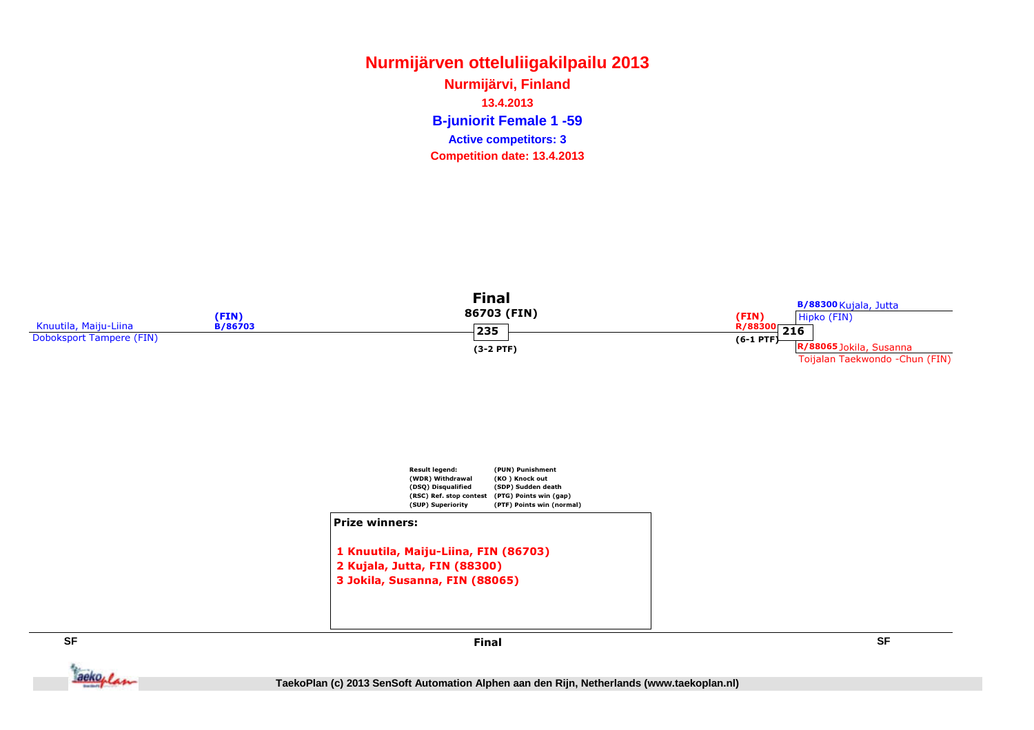**Nurmijärven otteluliigakilpailu 2013B-juniorit Female 1 -59 Nurmijärvi, Finland13.4.2013Competition date: 13.4.2013 Active competitors: 3**







**SF**

Final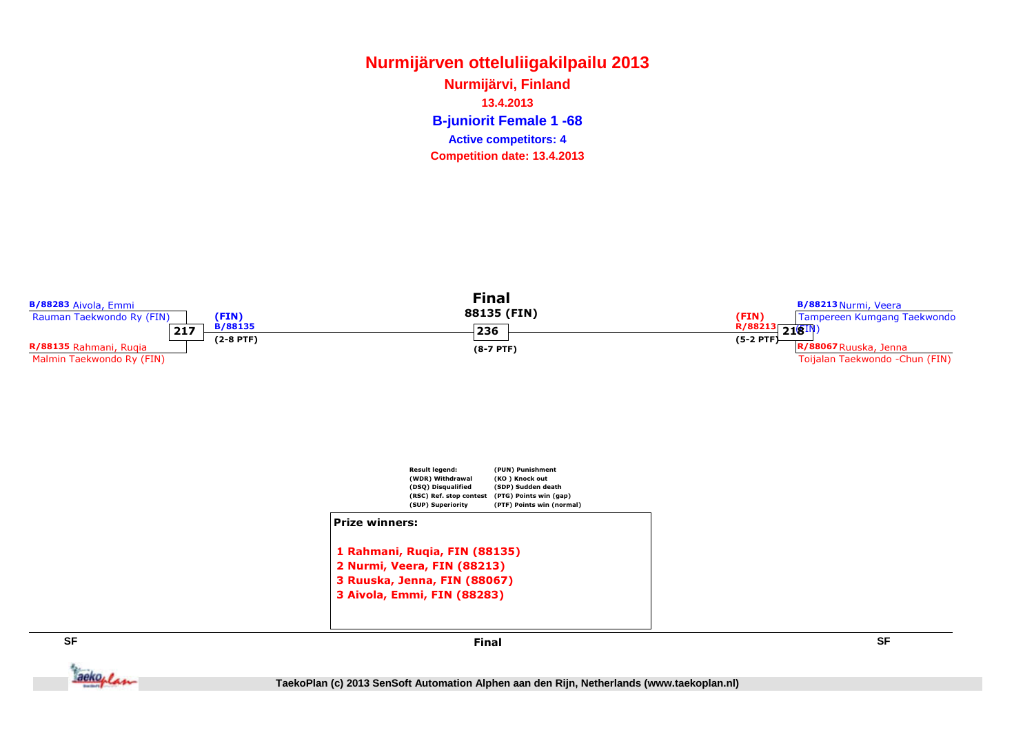**Nurmijärven otteluliigakilpailu 2013B-juniorit Female 1 -68 Nurmijärvi, Finland13.4.2013Competition date: 13.4.2013 Active competitors: 4**





Final



**SF**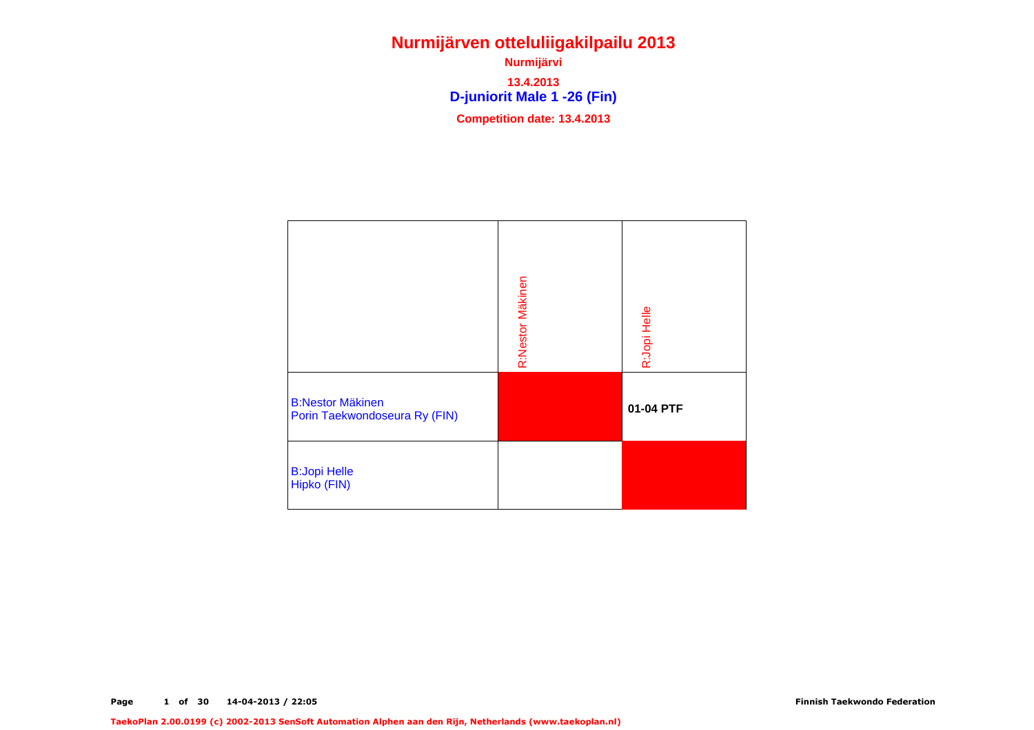**D-juniorit Male 1 -26 (Fin) Nurmijärvi13.4.2013Competition date: 13.4.2013**

|                                                          | R:Nestor Mäkinen | R:Jopi Helle |
|----------------------------------------------------------|------------------|--------------|
| <b>B:Nestor Mäkinen</b><br>Porin Taekwondoseura Ry (FIN) |                  | 01-04 PTF    |
| <b>B:Jopi Helle</b><br>Hipko (FIN)                       |                  |              |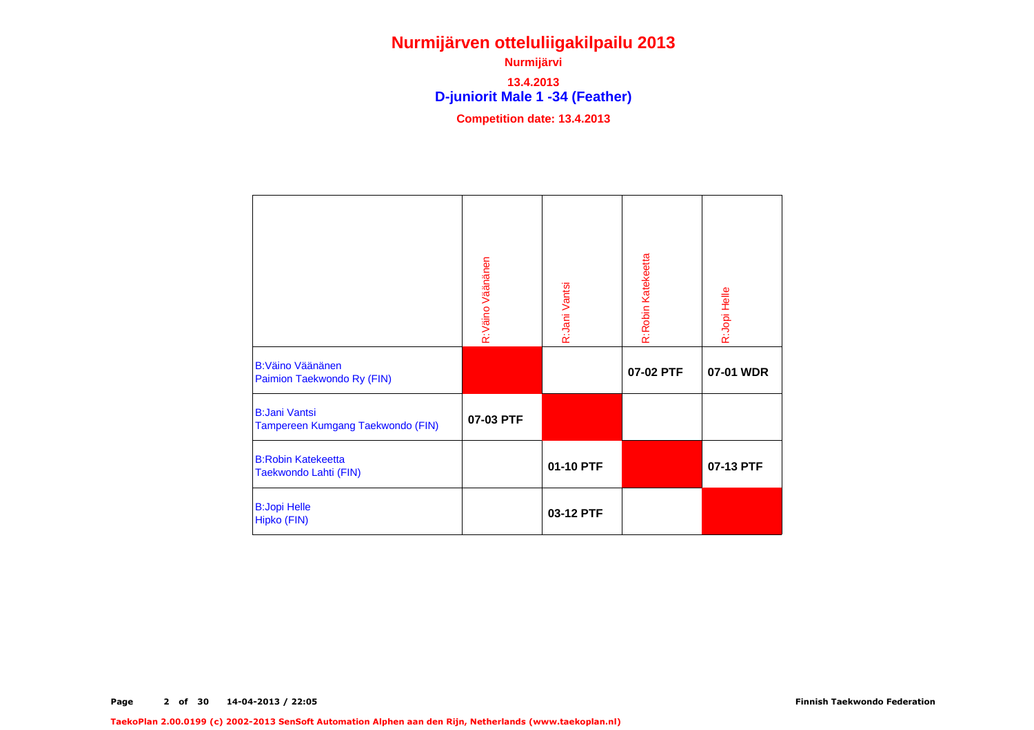**D-juniorit Male 1 -34 (Feather) Nurmijärvi13.4.2013Competition date: 13.4.2013**

R:Robin Katekeetta R:Robin Katekeetta R:Väino Väänänen R:Väino Väänänen R:Jani Vantsi R:Jani Vantsi R:Jopi Helle R:Jopi Helle B:Väino Väänänen**07-02 PTF07-01 WDR** Paimion Taekwondo Ry (FIN)B:Jani Vantsi**07-03 PTF** Tampereen Kumgang Taekwondo (FIN)B:Robin Katekeetta**01-10 PTF07-13 PTF** Taekwondo Lahti (FIN)B:Jopi Helle**03-12 PTF**Hipko (FIN)

TaekoPlan 2.00.0199 (c) 2002-2013 SenSoft Automation Alphen aan den Rijn, Netherlands (www.taekoplan.nl)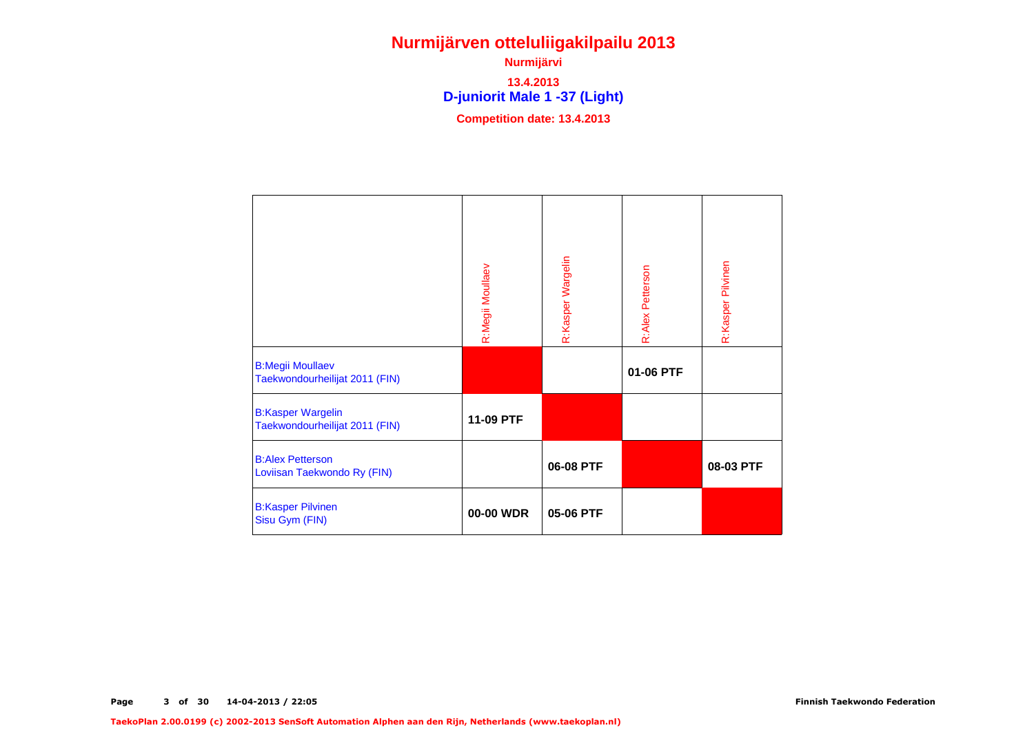**D-juniorit Male 1 -37 (Light) Nurmijärvi13.4.2013Competition date: 13.4.2013**

|                                                            | R:Megii Moullaev | R:Kasper Wargelin | R:Alex Petterson | R:Kasper Pilvinen |
|------------------------------------------------------------|------------------|-------------------|------------------|-------------------|
| <b>B:Megii Moullaev</b><br>Taekwondourheilijat 2011 (FIN)  |                  |                   | 01-06 PTF        |                   |
| <b>B:Kasper Wargelin</b><br>Taekwondourheilijat 2011 (FIN) | 11-09 PTF        |                   |                  |                   |
| <b>B:Alex Petterson</b><br>Loviisan Taekwondo Ry (FIN)     |                  | 06-08 PTF         |                  | 08-03 PTF         |
| <b>B:Kasper Pilvinen</b><br>Sisu Gym (FIN)                 | 00-00 WDR        | 05-06 PTF         |                  |                   |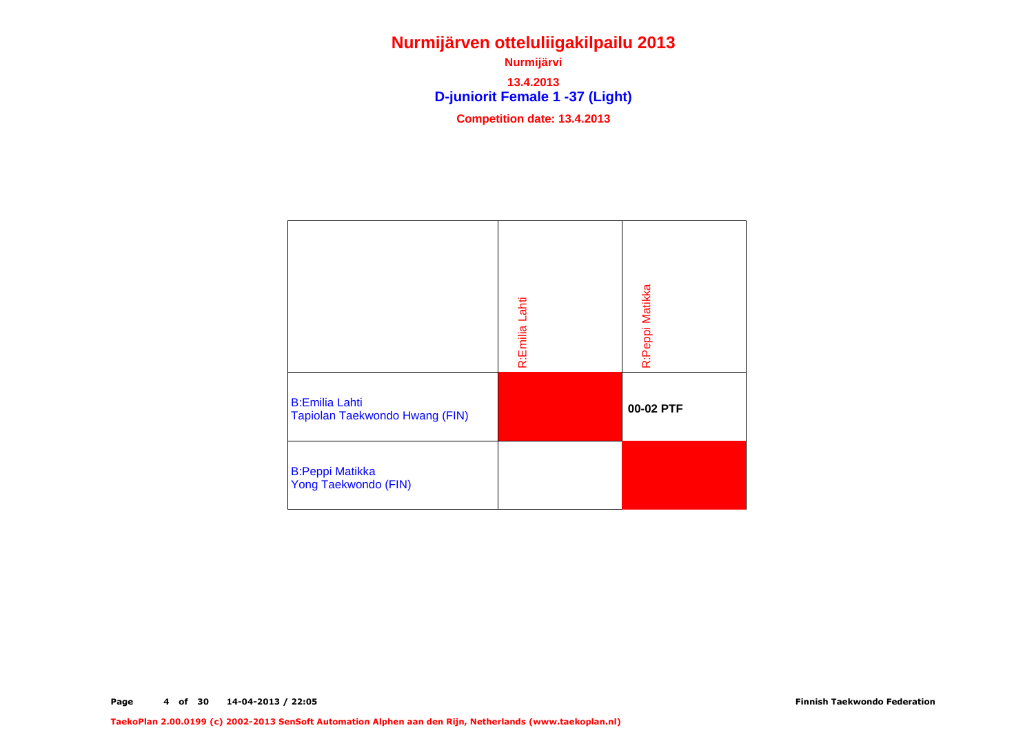**D-juniorit Female 1 -37 (Light) Nurmijärvi13.4.2013Competition date: 13.4.2013**

|                                                         | R:Emilia Lahti | R:Peppi Matikka |
|---------------------------------------------------------|----------------|-----------------|
| <b>B:Emilia Lahti</b><br>Tapiolan Taekwondo Hwang (FIN) |                | 00-02 PTF       |
| <b>B:Peppi Matikka</b><br>Yong Taekwondo (FIN)          |                |                 |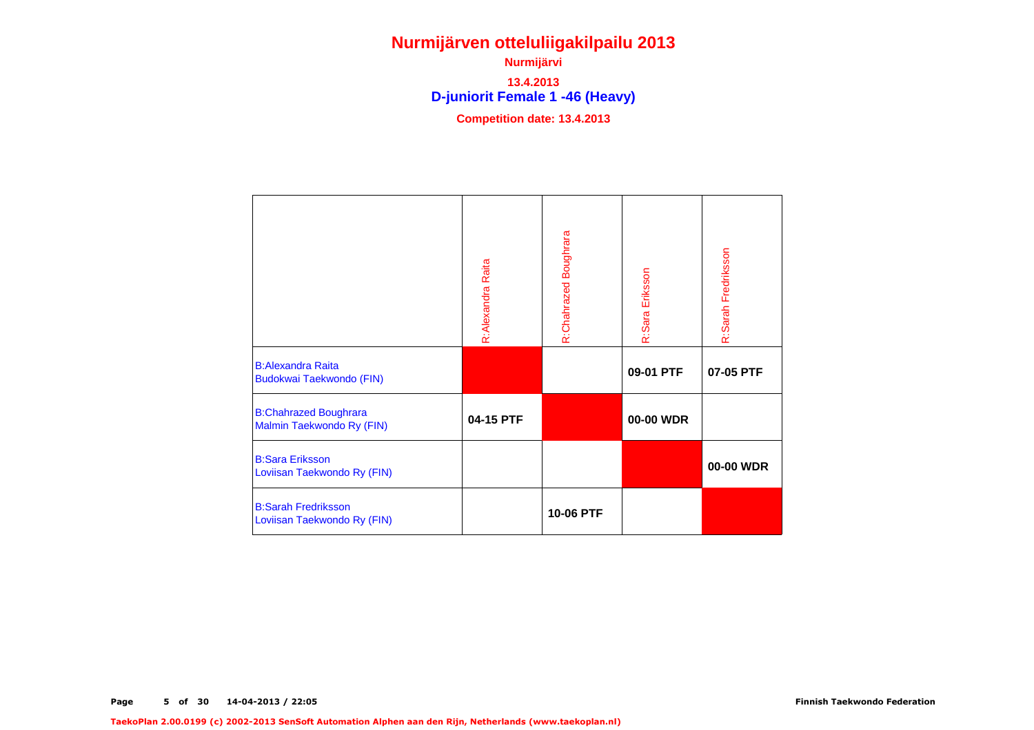**D-juniorit Female 1 -46 (Heavy) Nurmijärvi13.4.2013Competition date: 13.4.2013**

|                                                           | R:Alexandra Raita | R:Chahrazed Boughrara | R:Sara Eriksson | R:Sarah Fredriksson |
|-----------------------------------------------------------|-------------------|-----------------------|-----------------|---------------------|
| <b>B:Alexandra Raita</b><br>Budokwai Taekwondo (FIN)      |                   |                       | 09-01 PTF       | 07-05 PTF           |
| <b>B:Chahrazed Boughrara</b><br>Malmin Taekwondo Ry (FIN) | 04-15 PTF         |                       | 00-00 WDR       |                     |
| <b>B:Sara Eriksson</b><br>Loviisan Taekwondo Ry (FIN)     |                   |                       |                 | 00-00 WDR           |
| <b>B:Sarah Fredriksson</b><br>Loviisan Taekwondo Ry (FIN) |                   | 10-06 PTF             |                 |                     |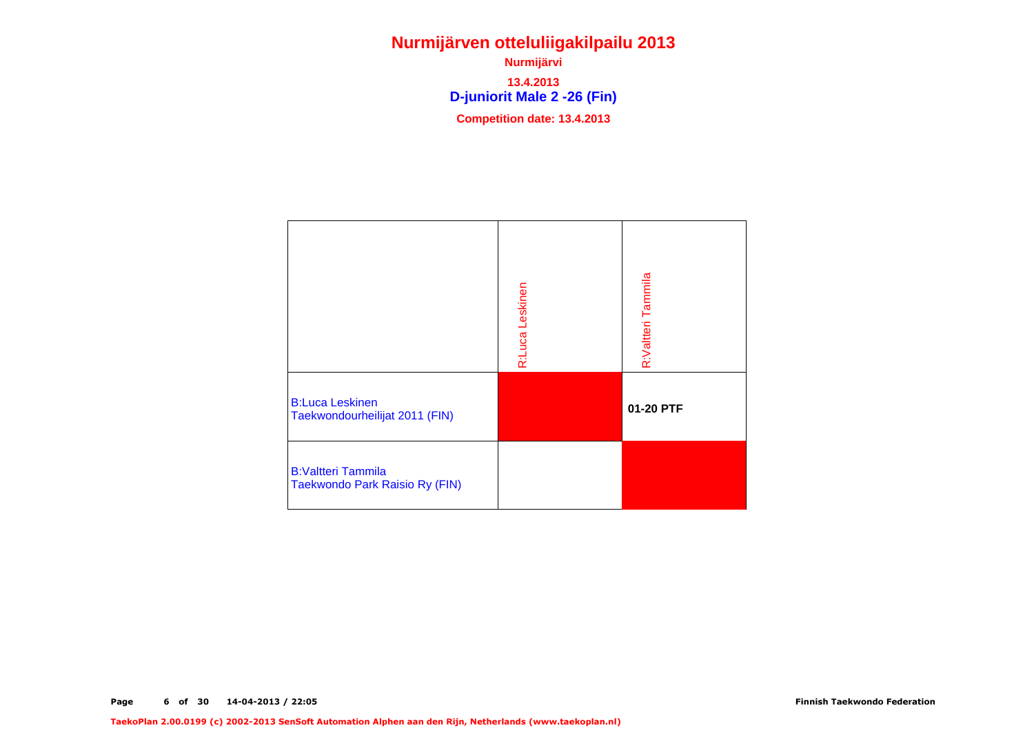**D-juniorit Male 2 -26 (Fin) Nurmijärvi13.4.2013Competition date: 13.4.2013**

|                                                             | R:Luca Leskinen | R:Valtteri Tammila |
|-------------------------------------------------------------|-----------------|--------------------|
| <b>B:Luca Leskinen</b><br>Taekwondourheilijat 2011 (FIN)    |                 | 01-20 PTF          |
| <b>B:Valtteri Tammila</b><br>Taekwondo Park Raisio Ry (FIN) |                 |                    |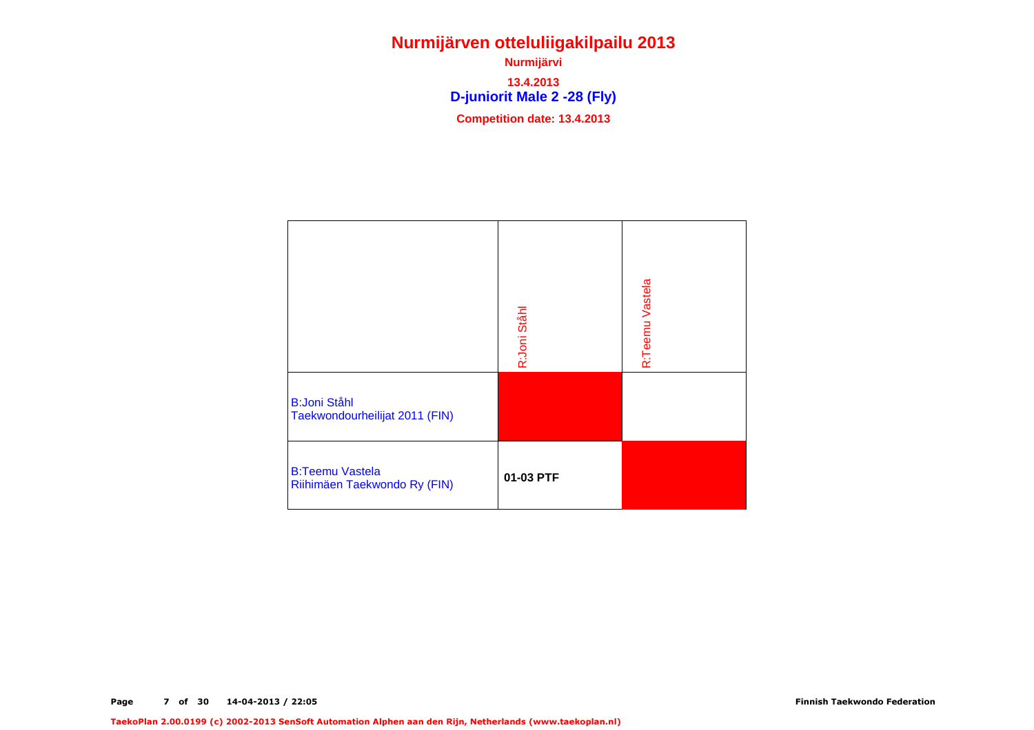**D-juniorit Male 2 -28 (Fly) Nurmijärvi13.4.2013Competition date: 13.4.2013**

| <b>B:Joni Ståhl</b><br>Taekwondourheilijat 2011 (FIN)  | R:Joni Stâhl | R:Teemu Vastela |
|--------------------------------------------------------|--------------|-----------------|
| <b>B:Teemu Vastela</b><br>Riihimäen Taekwondo Ry (FIN) | 01-03 PTF    |                 |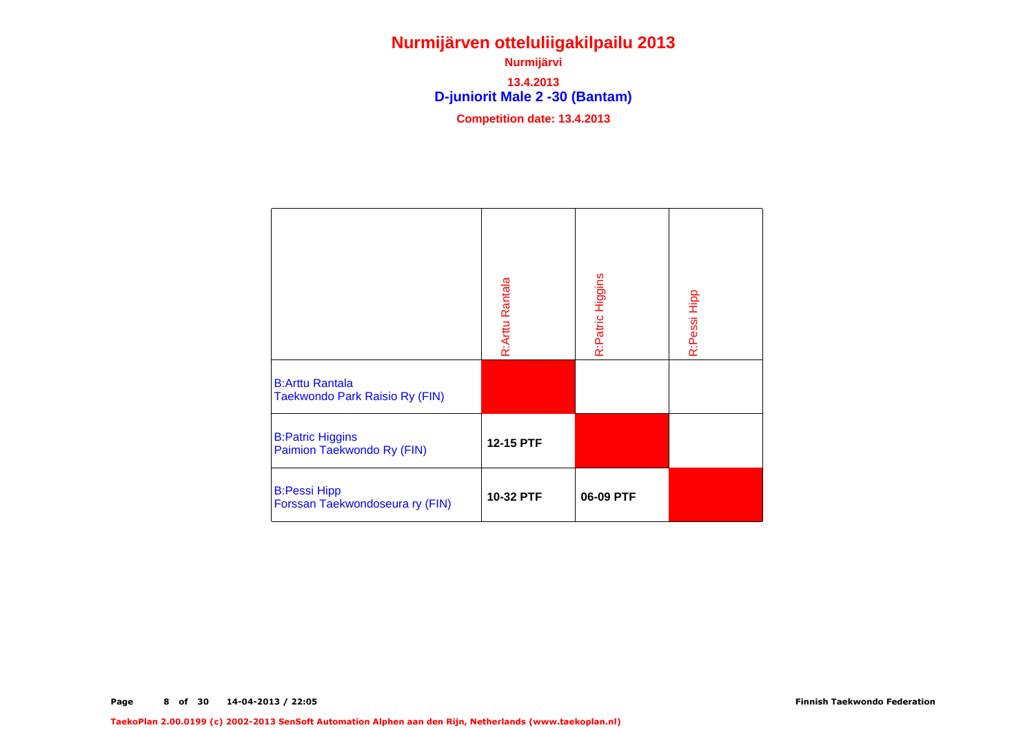**D-juniorit Male 2 -30 (Bantam) Nurmijärvi13.4.2013**

**Competition date: 13.4.2013**

|                                                          | R:Arttu Rantala | R:Patric Higgins | R:Pessi Hipp |
|----------------------------------------------------------|-----------------|------------------|--------------|
| <b>B:Arttu Rantala</b><br>Taekwondo Park Raisio Ry (FIN) |                 |                  |              |
| <b>B:Patric Higgins</b><br>Paimion Taekwondo Ry (FIN)    | 12-15 PTF       |                  |              |
| <b>B:Pessi Hipp</b><br>Forssan Taekwondoseura ry (FIN)   | 10-32 PTF       | 06-09 PTF        |              |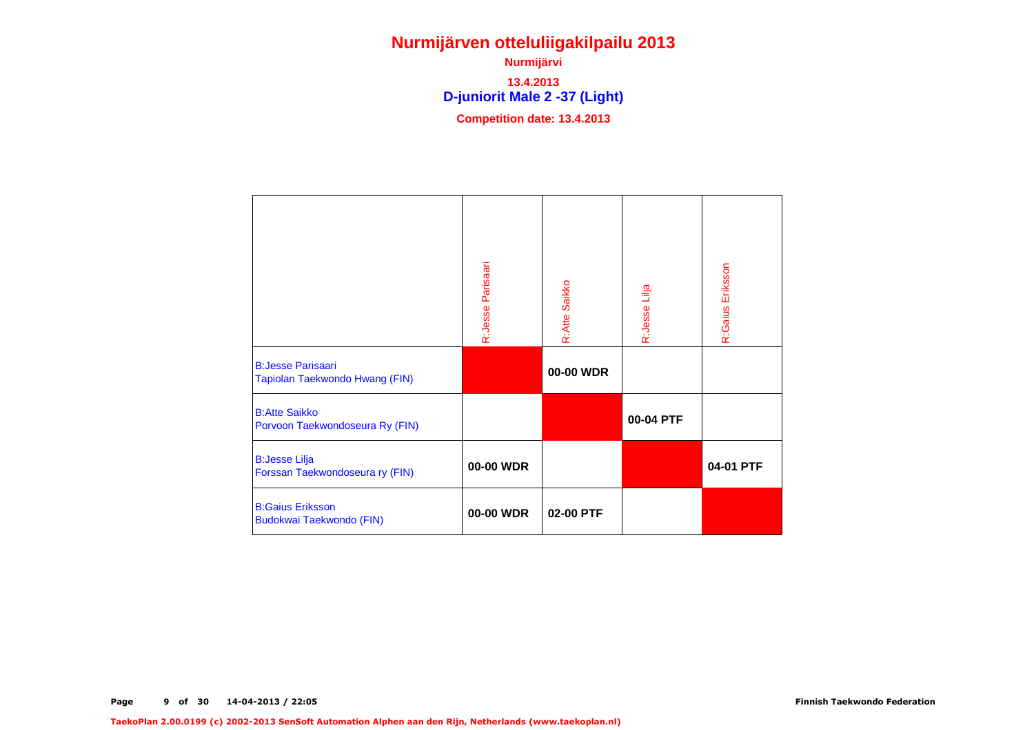**D-juniorit Male 2 -37 (Light) Nurmijärvi13.4.2013Competition date: 13.4.2013**

|                                                            | Parisaari<br>R:Jesse | R:Atte Saikko | R:Jesse Lilja | R:Gaius Eriksson |
|------------------------------------------------------------|----------------------|---------------|---------------|------------------|
| <b>B:Jesse Parisaari</b><br>Tapiolan Taekwondo Hwang (FIN) |                      | 00-00 WDR     |               |                  |
| <b>B:Atte Saikko</b><br>Porvoon Taekwondoseura Ry (FIN)    |                      |               | 00-04 PTF     |                  |
| <b>B:Jesse Lilja</b><br>Forssan Taekwondoseura ry (FIN)    | 00-00 WDR            |               |               | 04-01 PTF        |
| <b>B:Gaius Eriksson</b><br>Budokwai Taekwondo (FIN)        | 00-00 WDR            | 02-00 PTF     |               |                  |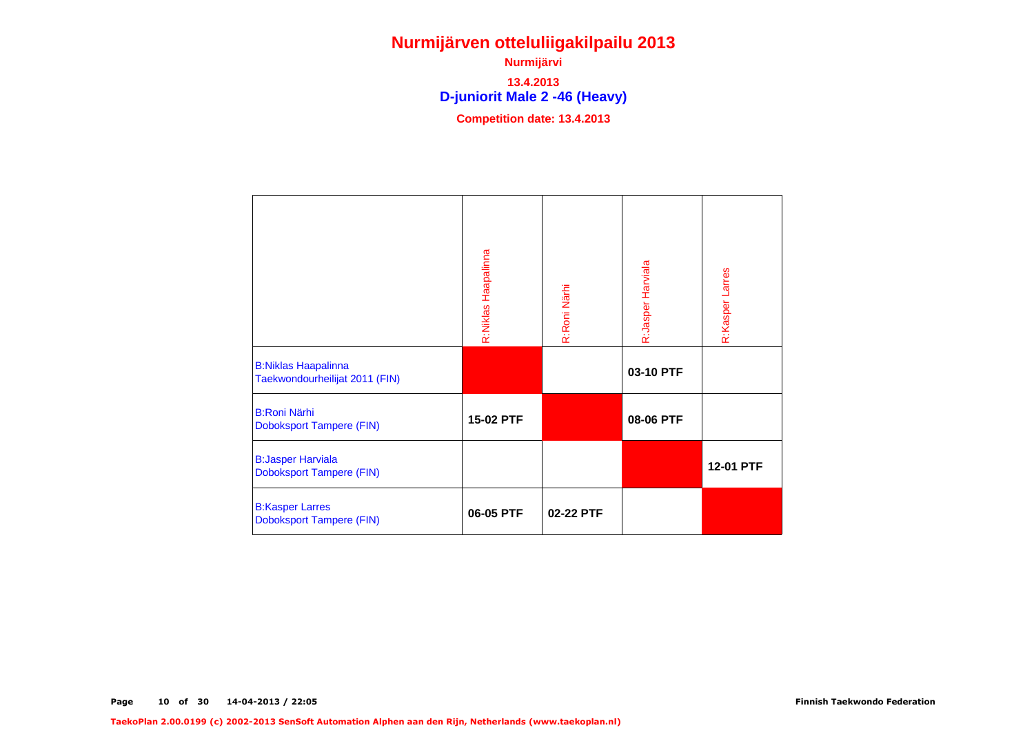**D-juniorit Male 2 -46 (Heavy) Nurmijärvi13.4.2013Competition date: 13.4.2013**

|                                                              | R:Niklas Haapalinna | R:Roni Närhi | R:Jasper Harviala | R:Kasper Larres |
|--------------------------------------------------------------|---------------------|--------------|-------------------|-----------------|
| <b>B:Niklas Haapalinna</b><br>Taekwondourheilijat 2011 (FIN) |                     |              | 03-10 PTF         |                 |
| <b>B:Roni Närhi</b><br><b>Doboksport Tampere (FIN)</b>       | 15-02 PTF           |              | 08-06 PTF         |                 |
| <b>B:Jasper Harviala</b><br><b>Doboksport Tampere (FIN)</b>  |                     |              |                   | 12-01 PTF       |
| <b>B:Kasper Larres</b><br><b>Doboksport Tampere (FIN)</b>    | 06-05 PTF           | 02-22 PTF    |                   |                 |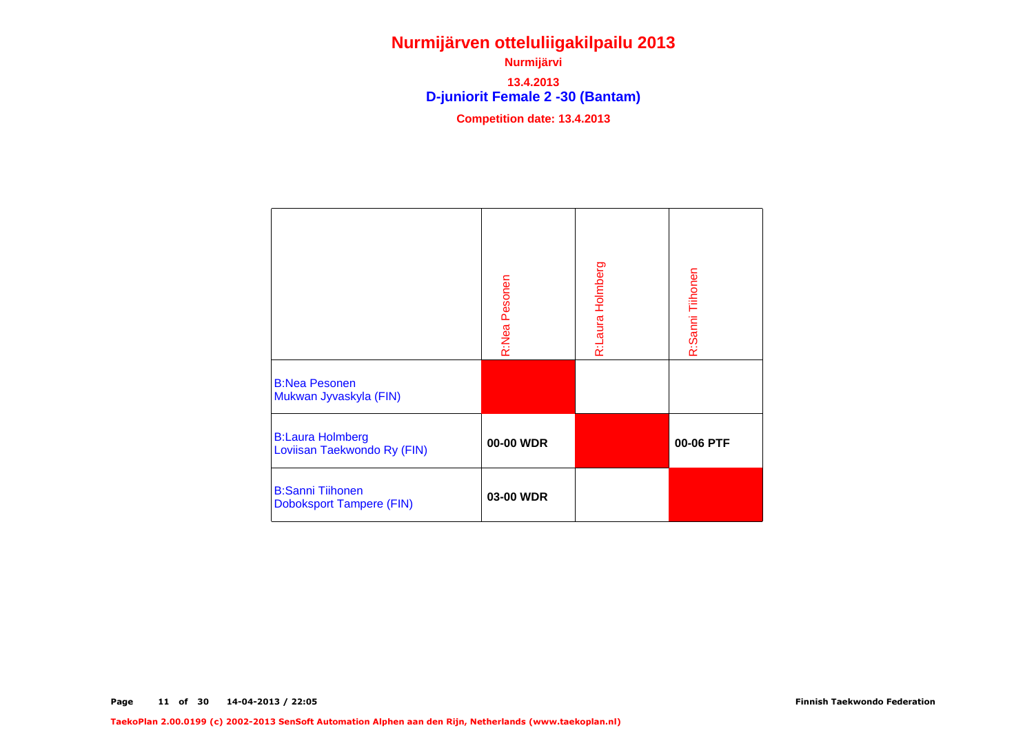**D-juniorit Female 2 -30 (Bantam) Nurmijärvi13.4.2013Competition date: 13.4.2013**

|                                                            | R:Nea Pesonen | R:Laura Holmberg | R:Sanni Tiihonen |
|------------------------------------------------------------|---------------|------------------|------------------|
| <b>B:Nea Pesonen</b><br>Mukwan Jyvaskyla (FIN)             |               |                  |                  |
| <b>B:Laura Holmberg</b><br>Loviisan Taekwondo Ry (FIN)     | 00-00 WDR     |                  | 00-06 PTF        |
| <b>B:Sanni Tiihonen</b><br><b>Doboksport Tampere (FIN)</b> | 03-00 WDR     |                  |                  |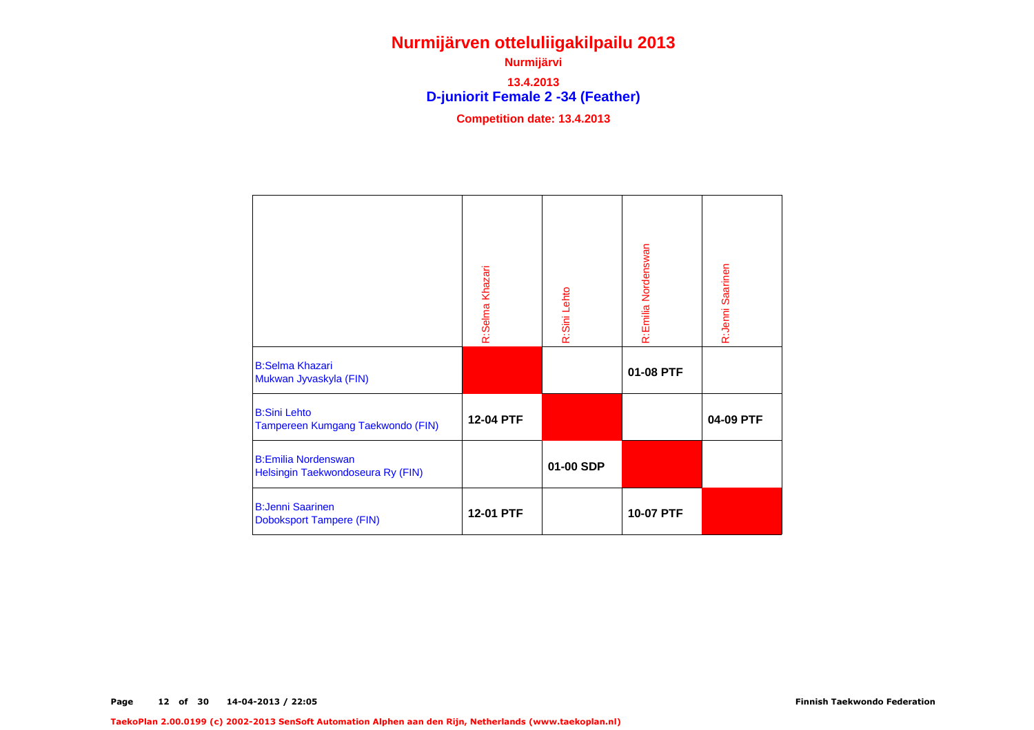**D-juniorit Female 2 -34 (Feather) Nurmijärvi13.4.2013Competition date: 13.4.2013**

|                                                                 | R:Selma Khazari | R:Sini Lehto | R:Emilia Nordenswan | R:Jenni Saarinen |
|-----------------------------------------------------------------|-----------------|--------------|---------------------|------------------|
| <b>B:Selma Khazari</b><br>Mukwan Jyvaskyla (FIN)                |                 |              | 01-08 PTF           |                  |
| <b>B:Sini Lehto</b><br>Tampereen Kumgang Taekwondo (FIN)        | 12-04 PTF       |              |                     | 04-09 PTF        |
| <b>B:Emilia Nordenswan</b><br>Helsingin Taekwondoseura Ry (FIN) |                 | 01-00 SDP    |                     |                  |
| <b>B:Jenni Saarinen</b><br><b>Doboksport Tampere (FIN)</b>      | 12-01 PTF       |              | 10-07 PTF           |                  |

TaekoPlan 2.00.0199 (c) 2002-2013 SenSoft Automation Alphen aan den Rijn, Netherlands (www.taekoplan.nl)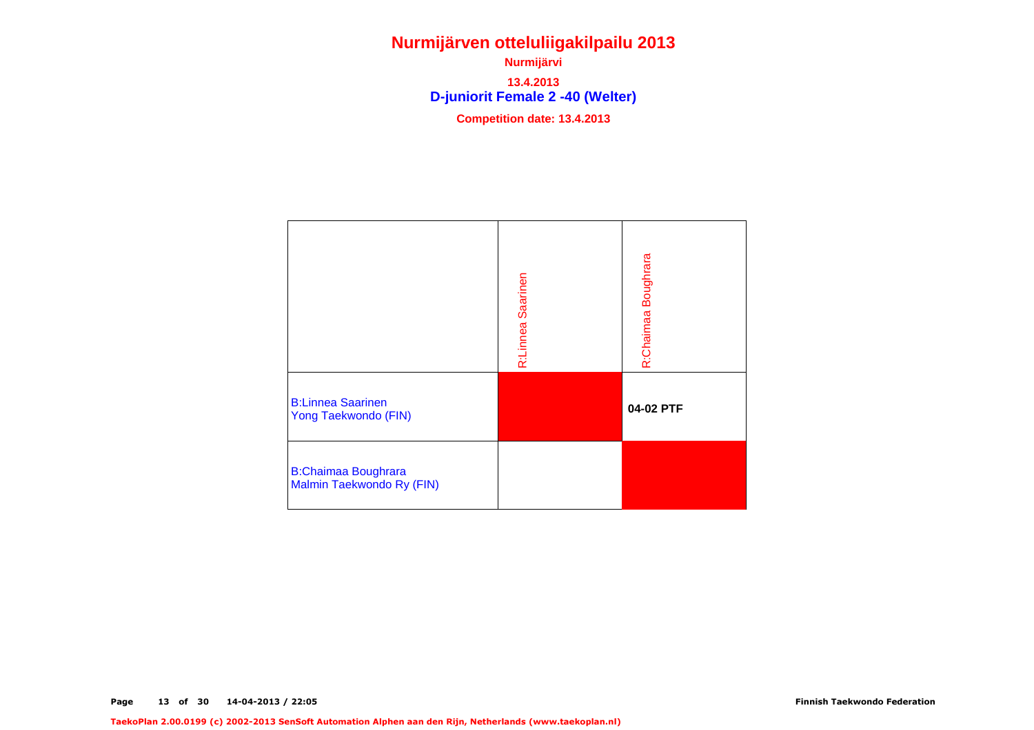**D-juniorit Female 2 -40 (Welter) Nurmijärvi13.4.2013Competition date: 13.4.2013**

|                                                         | R:Linnea Saarinen | R:Chaimaa Boughrara |
|---------------------------------------------------------|-------------------|---------------------|
| <b>B:Linnea Saarinen</b><br>Yong Taekwondo (FIN)        |                   | 04-02 PTF           |
| <b>B:Chaimaa Boughrara</b><br>Malmin Taekwondo Ry (FIN) |                   |                     |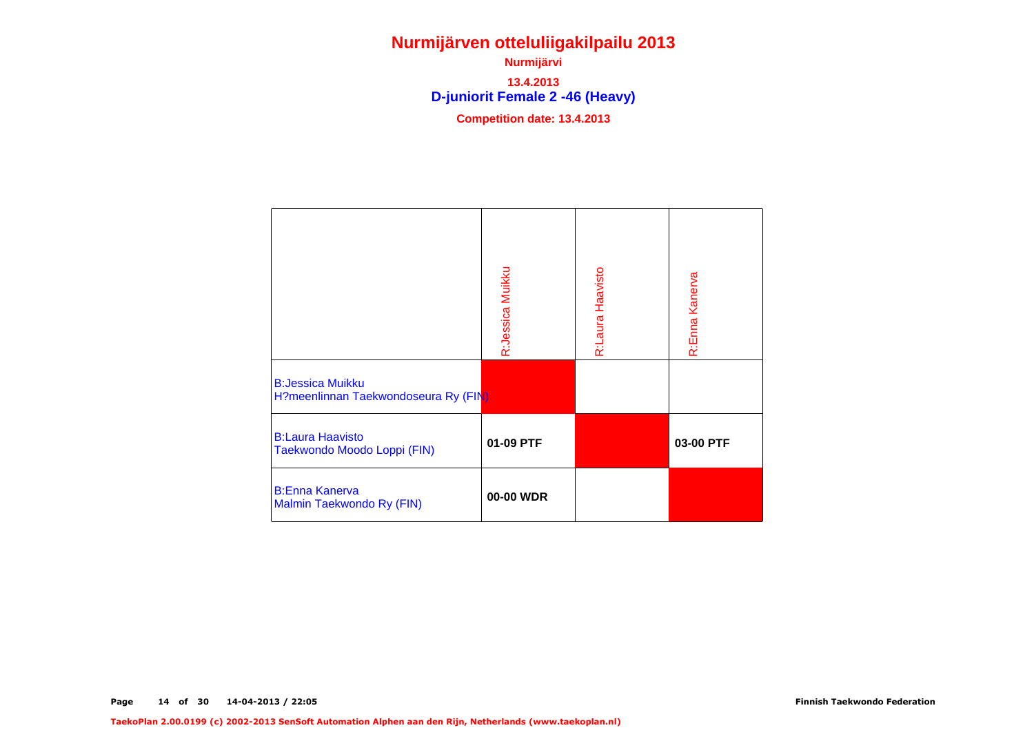**D-juniorit Female 2 -46 (Heavy) Nurmijärvi13.4.2013Competition date: 13.4.2013**

|                                                                 | R:Jessica Muikku | R:Laura Haavisto | R:Enna Kanerva |
|-----------------------------------------------------------------|------------------|------------------|----------------|
| <b>B:Jessica Muikku</b><br>H?meenlinnan Taekwondoseura Ry (FIN) |                  |                  |                |
| <b>B:Laura Haavisto</b><br>Taekwondo Moodo Loppi (FIN)          | 01-09 PTF        |                  | 03-00 PTF      |
| <b>B:Enna Kanerva</b><br>Malmin Taekwondo Ry (FIN)              | 00-00 WDR        |                  |                |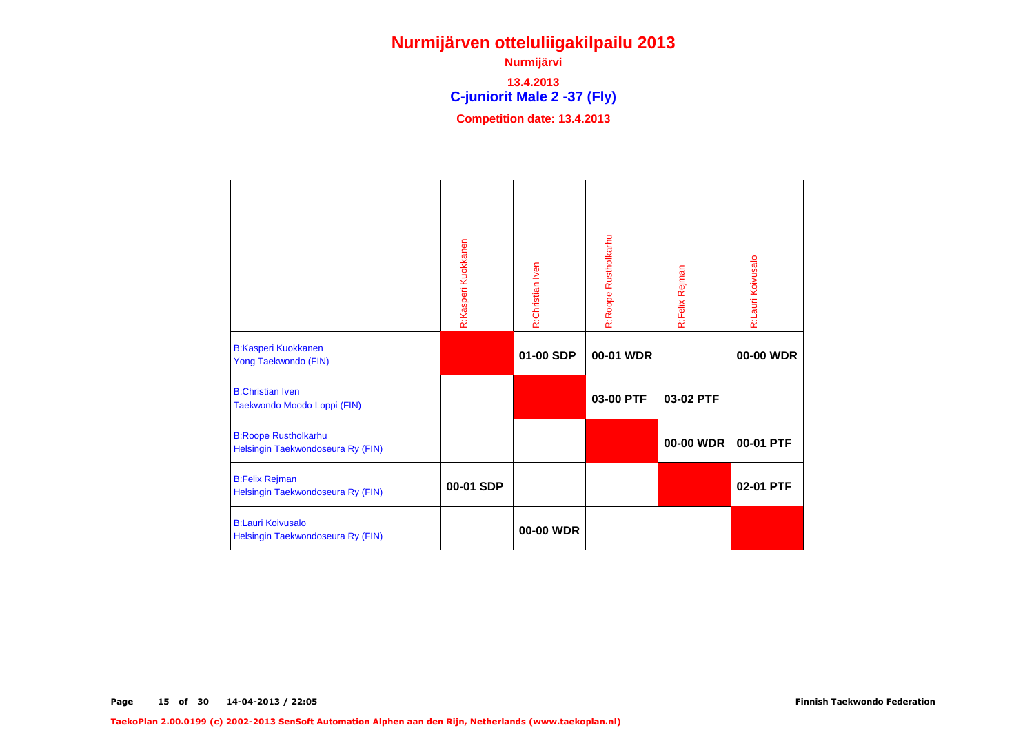**C-juniorit Male 2 -37 (Fly) Nurmijärvi13.4.2013**

**Competition date: 13.4.2013**

|                                                                  | R:Kasperi Kuokkanen | R:Christian Iven | R:Roope Rustholkarhu | R:Felix Rejman | R:Lauri Koivusalo |
|------------------------------------------------------------------|---------------------|------------------|----------------------|----------------|-------------------|
| <b>B:Kasperi Kuokkanen</b><br>Yong Taekwondo (FIN)               |                     | 01-00 SDP        | 00-01 WDR            |                | 00-00 WDR         |
| <b>B:Christian Iven</b><br>Taekwondo Moodo Loppi (FIN)           |                     |                  | 03-00 PTF            | 03-02 PTF      |                   |
| <b>B:Roope Rustholkarhu</b><br>Helsingin Taekwondoseura Ry (FIN) |                     |                  |                      | 00-00 WDR      | 00-01 PTF         |
| <b>B:Felix Rejman</b><br>Helsingin Taekwondoseura Ry (FIN)       | 00-01 SDP           |                  |                      |                | 02-01 PTF         |
| <b>B:Lauri Koivusalo</b><br>Helsingin Taekwondoseura Ry (FIN)    |                     | 00-00 WDR        |                      |                |                   |

TaekoPlan 2.00.0199 (c) 2002-2013 SenSoft Automation Alphen aan den Rijn, Netherlands (www.taekoplan.nl)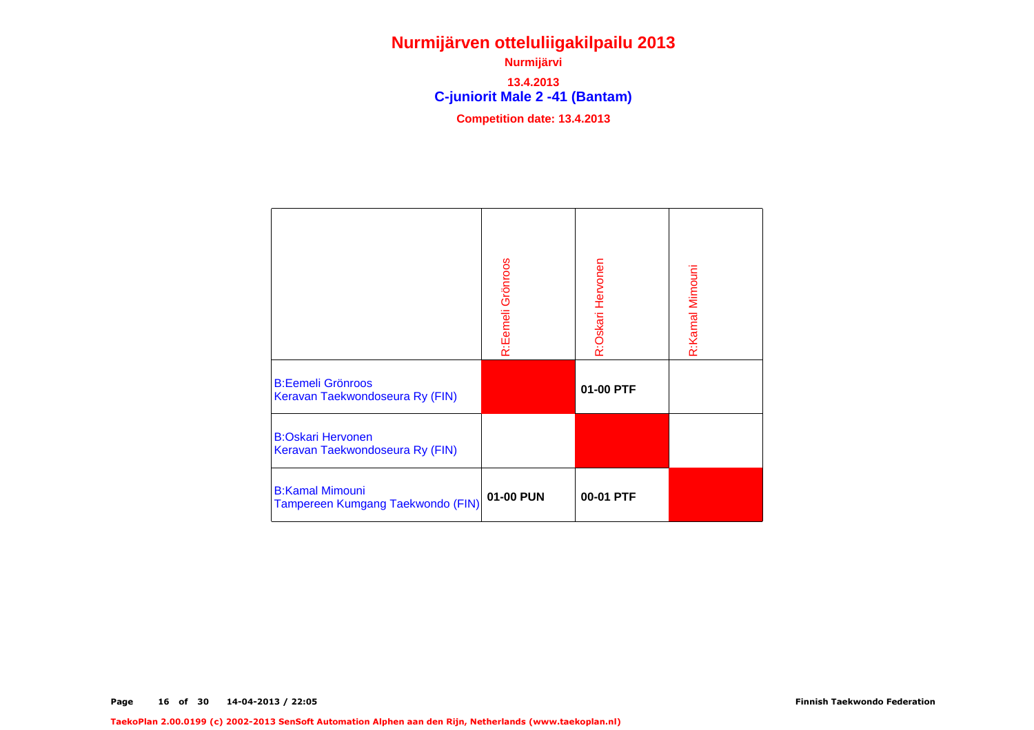**C-juniorit Male 2 -41 (Bantam) Nurmijärvi13.4.2013**

**Competition date: 13.4.2013**

|                                                             | R:Eemeli Grönroos | R:Oskari Hervonen | R:Kamal Mimouni |
|-------------------------------------------------------------|-------------------|-------------------|-----------------|
| <b>B:Eemeli Grönroos</b><br>Keravan Taekwondoseura Ry (FIN) |                   | 01-00 PTF         |                 |
| <b>B:Oskari Hervonen</b><br>Keravan Taekwondoseura Ry (FIN) |                   |                   |                 |
| <b>B:Kamal Mimouni</b><br>Tampereen Kumgang Taekwondo (FIN) | 01-00 PUN         | 00-01 PTF         |                 |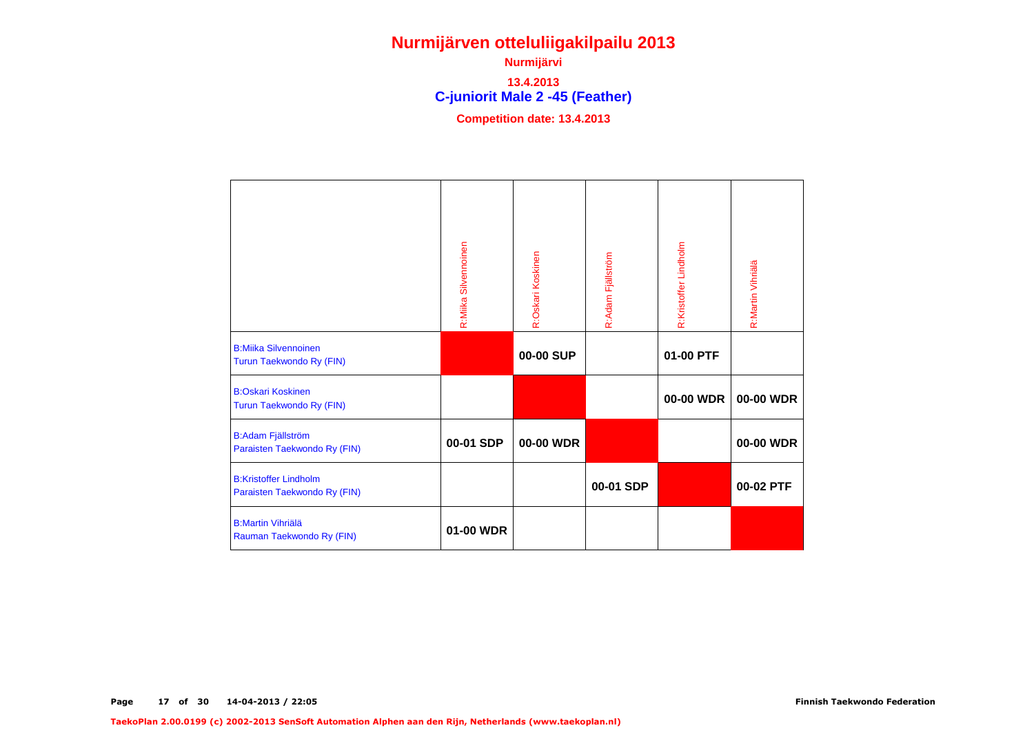**C-juniorit Male 2 -45 (Feather) Nurmijärvi13.4.2013**

**Competition date: 13.4.2013**

|                                                              | R:Miika Silvennoinen | R:Oskari Koskinen | R:Adam Fjällström | R:Kristoffer Lindholm | R:Martin Vihriälä |
|--------------------------------------------------------------|----------------------|-------------------|-------------------|-----------------------|-------------------|
| <b>B:Miika Silvennoinen</b><br>Turun Taekwondo Ry (FIN)      |                      | 00-00 SUP         |                   | 01-00 PTF             |                   |
| <b>B:Oskari Koskinen</b><br>Turun Taekwondo Ry (FIN)         |                      |                   |                   | 00-00 WDR             | 00-00 WDR         |
| <b>B:Adam Fjällström</b><br>Paraisten Taekwondo Ry (FIN)     | 00-01 SDP            | 00-00 WDR         |                   |                       | 00-00 WDR         |
| <b>B:Kristoffer Lindholm</b><br>Paraisten Taekwondo Ry (FIN) |                      |                   | 00-01 SDP         |                       | 00-02 PTF         |
| <b>B:Martin Vihriälä</b><br>Rauman Taekwondo Ry (FIN)        | 01-00 WDR            |                   |                   |                       |                   |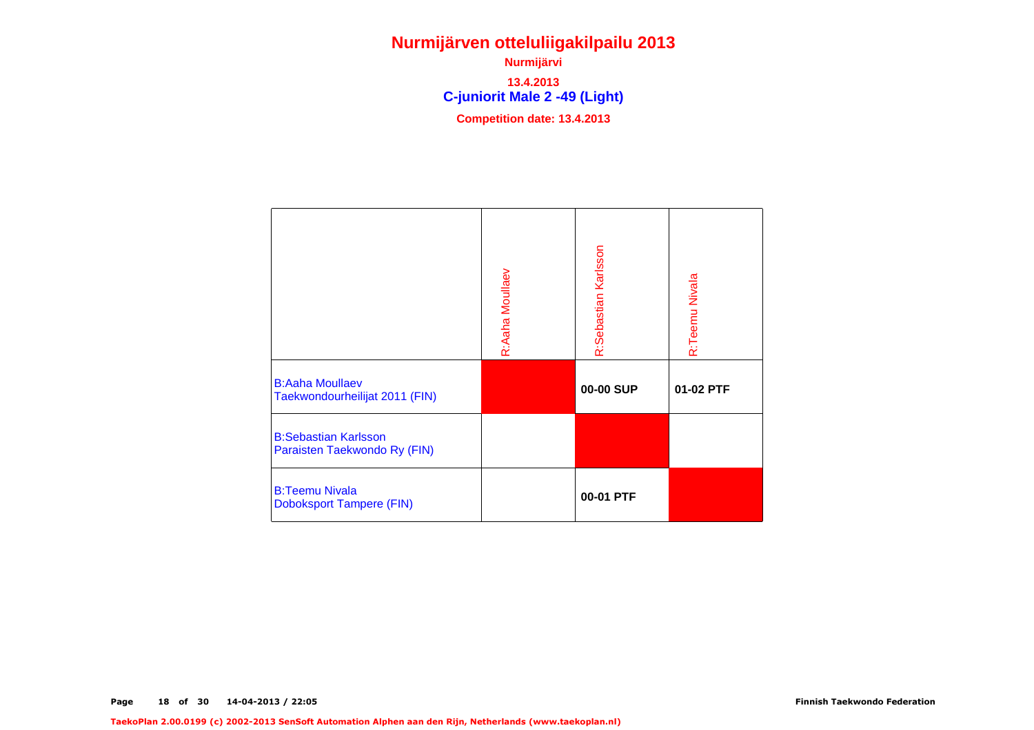**C-juniorit Male 2 -49 (Light) Nurmijärvi13.4.2013Competition date: 13.4.2013**

|                                                             | R:Aaha Moullaev | R:Sebastian Karlsson | R:Teemu Nivala |
|-------------------------------------------------------------|-----------------|----------------------|----------------|
| <b>B:Aaha Moullaev</b><br>Taekwondourheilijat 2011 (FIN)    |                 | 00-00 SUP            | 01-02 PTF      |
| <b>B:Sebastian Karlsson</b><br>Paraisten Taekwondo Ry (FIN) |                 |                      |                |
| <b>B:Teemu Nivala</b><br><b>Doboksport Tampere (FIN)</b>    |                 | 00-01 PTF            |                |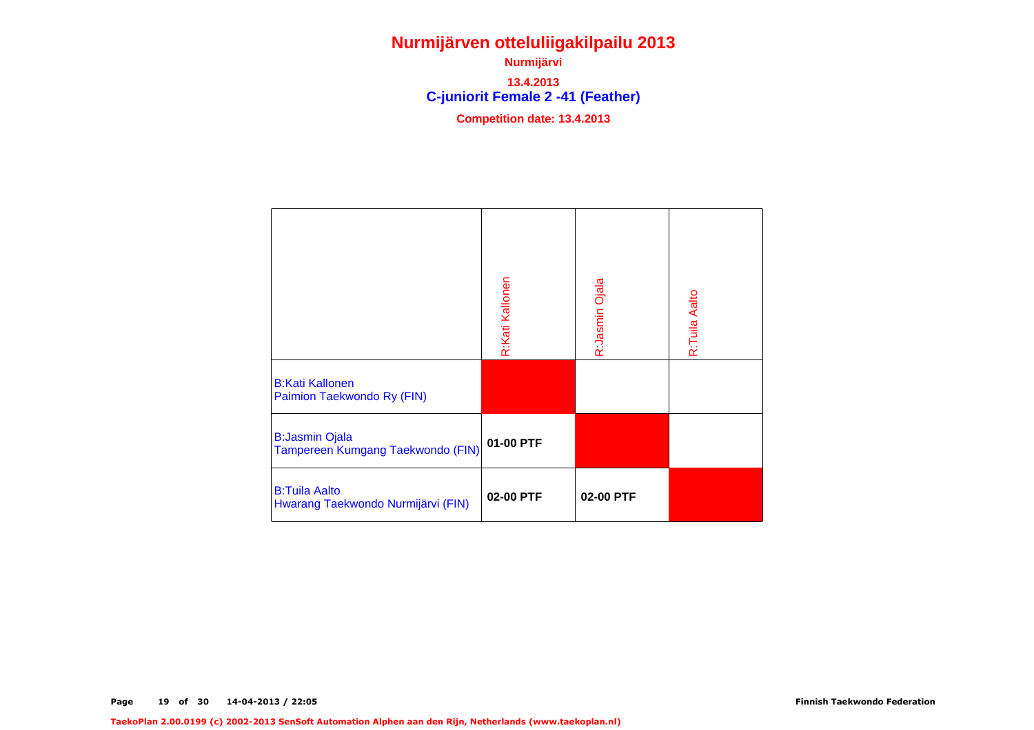**C-juniorit Female 2 -41 (Feather) Nurmijärvi13.4.2013Competition date: 13.4.2013**

|                                                            | R:Kati Kallonen | R:Jasmin Ojala | R:Tuila Aalto |
|------------------------------------------------------------|-----------------|----------------|---------------|
| <b>B:Kati Kallonen</b><br>Paimion Taekwondo Ry (FIN)       |                 |                |               |
| <b>B:Jasmin Ojala</b><br>Tampereen Kumgang Taekwondo (FIN) | 01-00 PTF       |                |               |
| <b>B:Tuila Aalto</b><br>Hwarang Taekwondo Nurmijärvi (FIN) | 02-00 PTF       | 02-00 PTF      |               |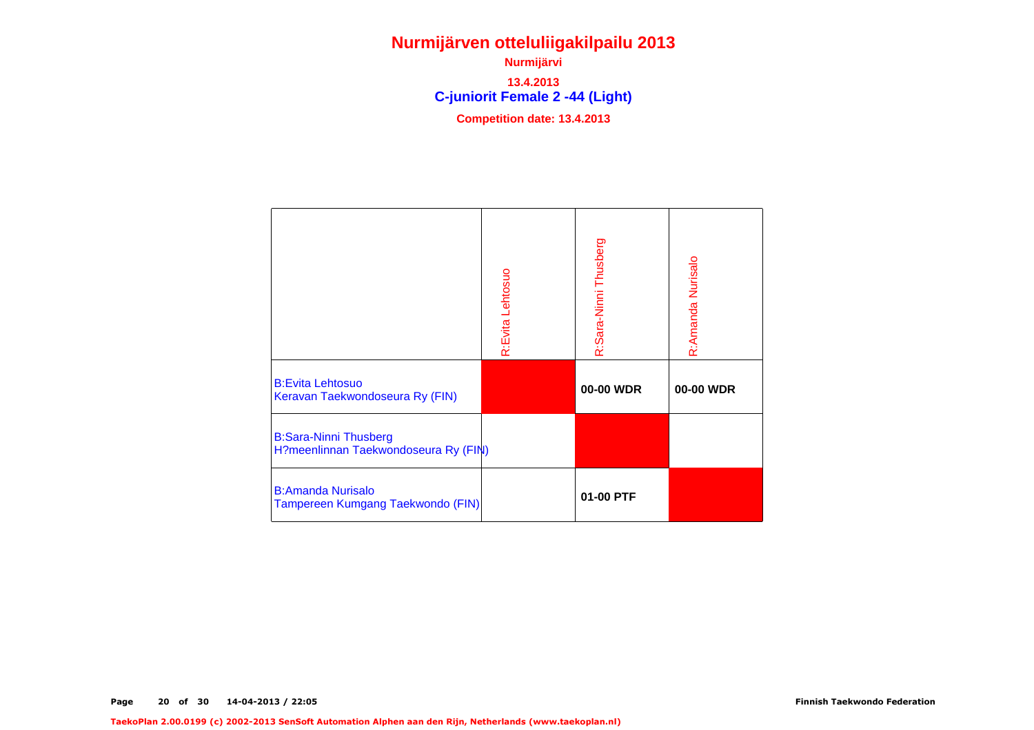**C-juniorit Female 2 -44 (Light) Nurmijärvi13.4.2013**

**Competition date: 13.4.2013**

|                                                                      | R:Evita Lehtosuo | R:Sara-Ninni Thusberg | R:Amanda Nurisalo |
|----------------------------------------------------------------------|------------------|-----------------------|-------------------|
| <b>B:Evita Lehtosuo</b><br>Keravan Taekwondoseura Ry (FIN)           |                  | 00-00 WDR             | 00-00 WDR         |
| <b>B:Sara-Ninni Thusberg</b><br>H?meenlinnan Taekwondoseura Ry (FIN) |                  |                       |                   |
| <b>B:Amanda Nurisalo</b><br>Tampereen Kumgang Taekwondo (FIN)        |                  | 01-00 PTF             |                   |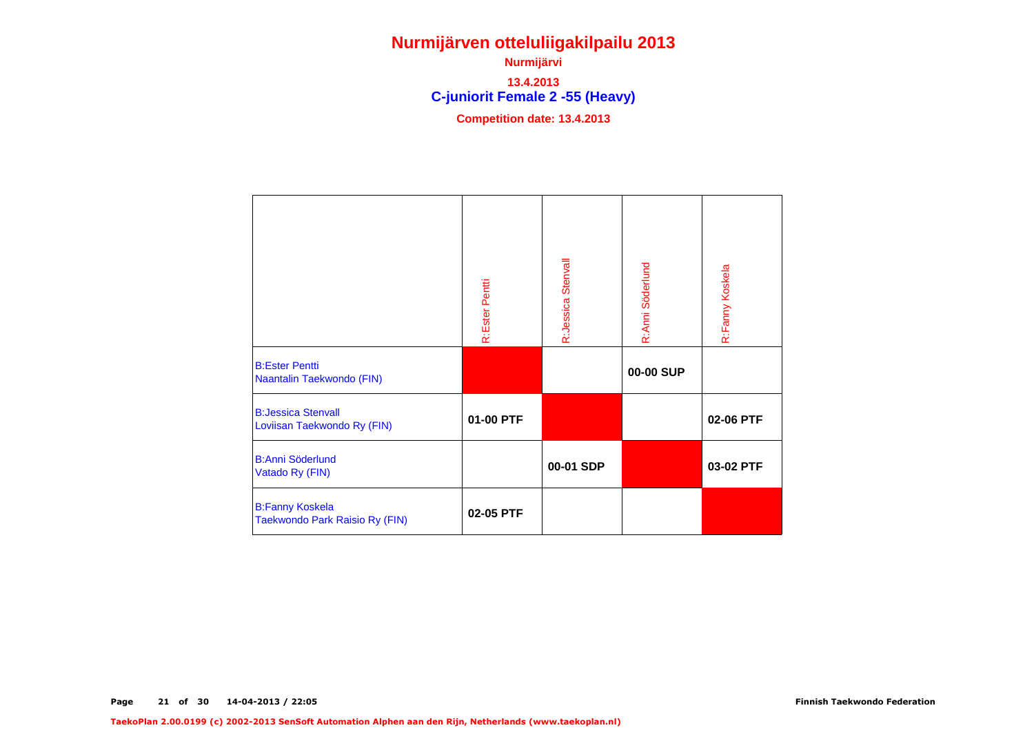**C-juniorit Female 2 -55 (Heavy) Nurmijärvi13.4.2013Competition date: 13.4.2013**

|                                                          | R:Ester Pentti | R:Jessica Stenvall | R:Anni Söderlund | R:Fanny Koskela |
|----------------------------------------------------------|----------------|--------------------|------------------|-----------------|
| <b>B:Ester Pentti</b><br>Naantalin Taekwondo (FIN)       |                |                    | 00-00 SUP        |                 |
| <b>B:Jessica Stenvall</b><br>Loviisan Taekwondo Ry (FIN) | 01-00 PTF      |                    |                  | 02-06 PTF       |
| <b>B:Anni Söderlund</b><br>Vatado Ry (FIN)               |                | 00-01 SDP          |                  | 03-02 PTF       |
| <b>B:Fanny Koskela</b><br>Taekwondo Park Raisio Ry (FIN) | 02-05 PTF      |                    |                  |                 |

TaekoPlan 2.00.0199 (c) 2002-2013 SenSoft Automation Alphen aan den Rijn, Netherlands (www.taekoplan.nl)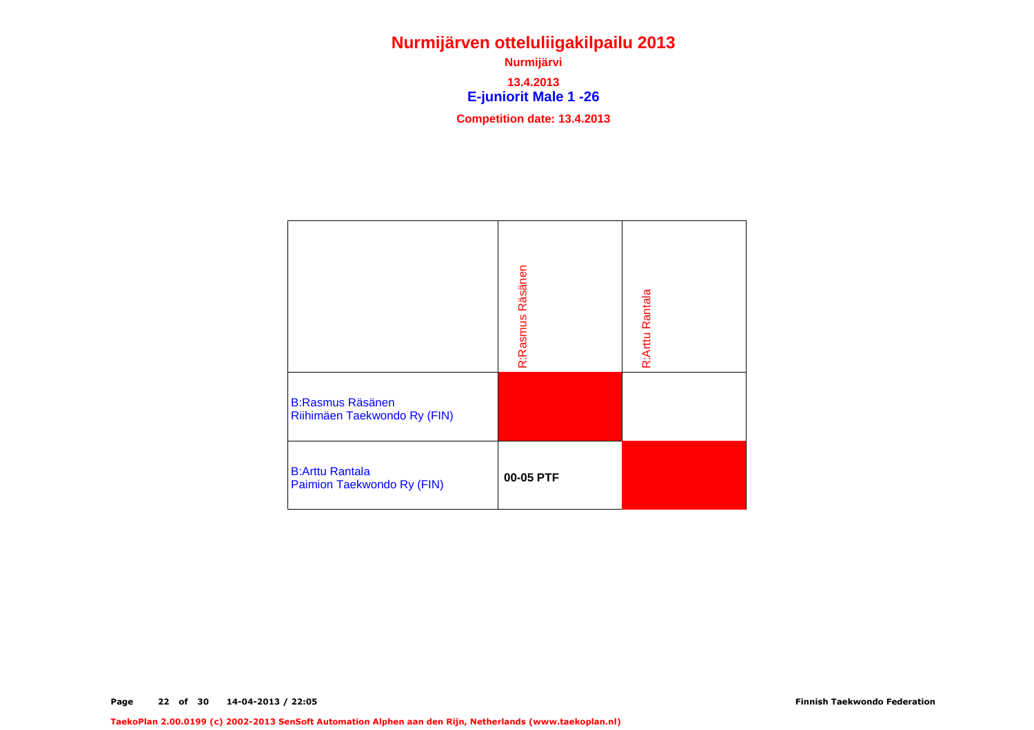**E-juniorit Male 1 -26 Nurmijärvi13.4.2013**

**Competition date: 13.4.2013**

| <b>B:Rasmus Räsänen</b><br>Riihimäen Taekwondo Ry (FIN) | R:Rasmus Räsänen | R:Arttu Rantala |
|---------------------------------------------------------|------------------|-----------------|
| <b>B:Arttu Rantala</b><br>Paimion Taekwondo Ry (FIN)    | 00-05 PTF        |                 |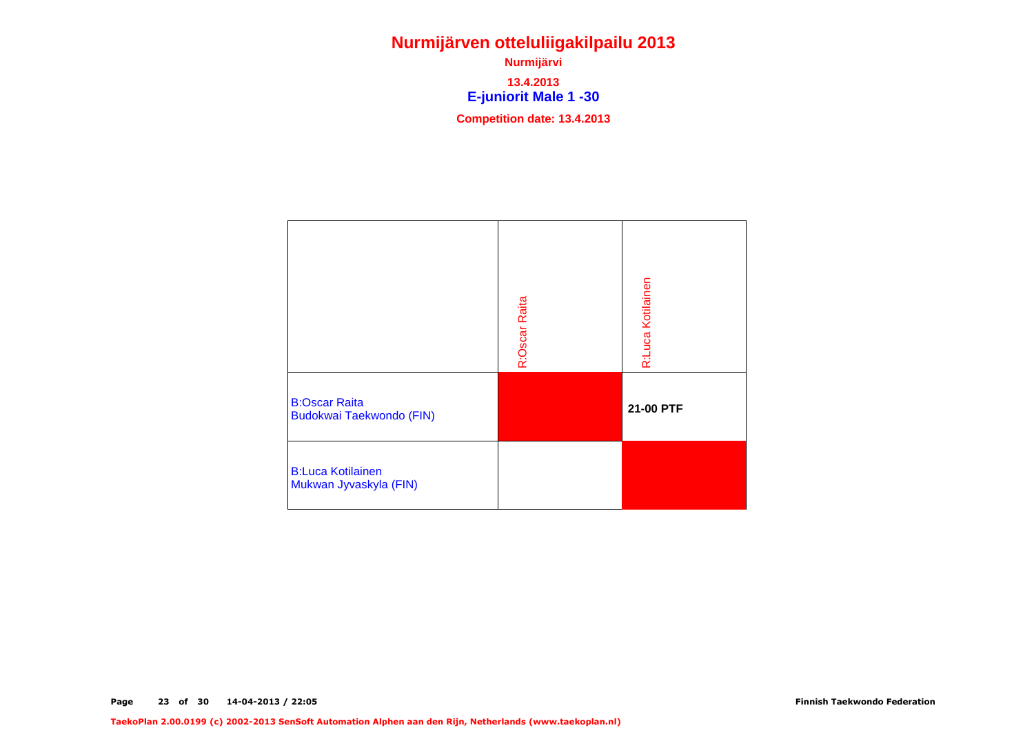**E-juniorit Male 1 -30 Nurmijärvi13.4.2013Competition date: 13.4.2013**

|                                                         | R:Oscar Raita | R:Luca Kotilainen |
|---------------------------------------------------------|---------------|-------------------|
| <b>B:Oscar Raita</b><br><b>Budokwai Taekwondo (FIN)</b> |               | 21-00 PTF         |
| <b>B:Luca Kotilainen</b><br>Mukwan Jyvaskyla (FIN)      |               |                   |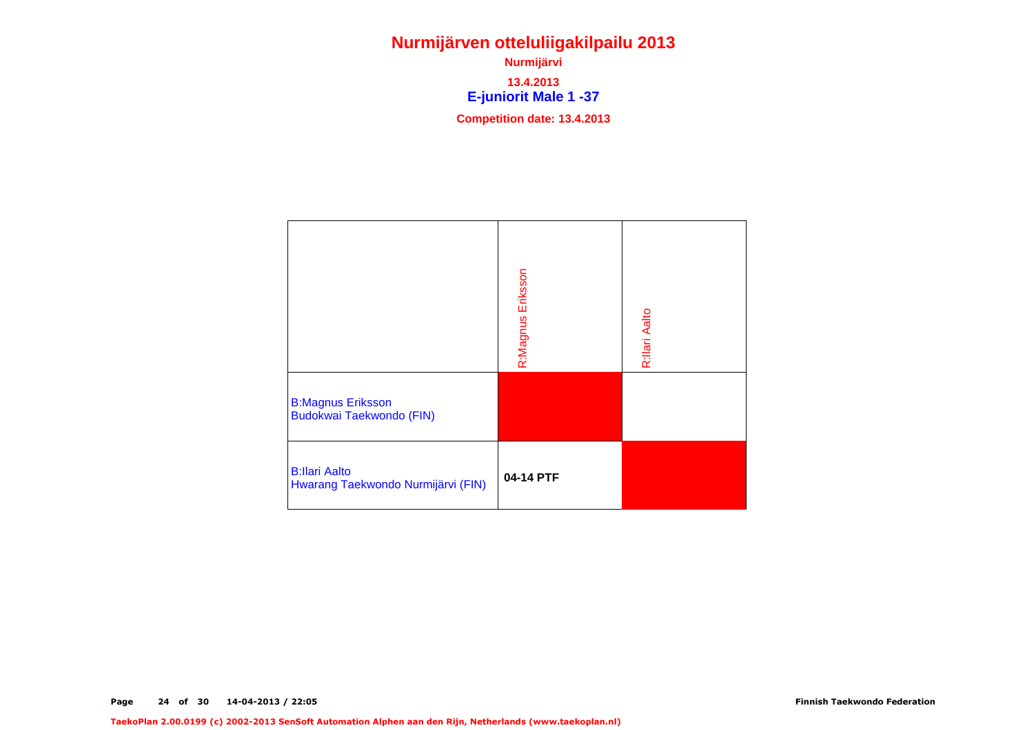**E-juniorit Male 1 -37 Nurmijärvi13.4.2013Competition date: 13.4.2013**

| <b>B:Magnus Eriksson</b><br><b>Budokwai Taekwondo (FIN)</b> | R:Magnus Eriksson | R:llari Aalto |
|-------------------------------------------------------------|-------------------|---------------|
| <b>B:llari Aalto</b><br>Hwarang Taekwondo Nurmijärvi (FIN)  | 04-14 PTF         |               |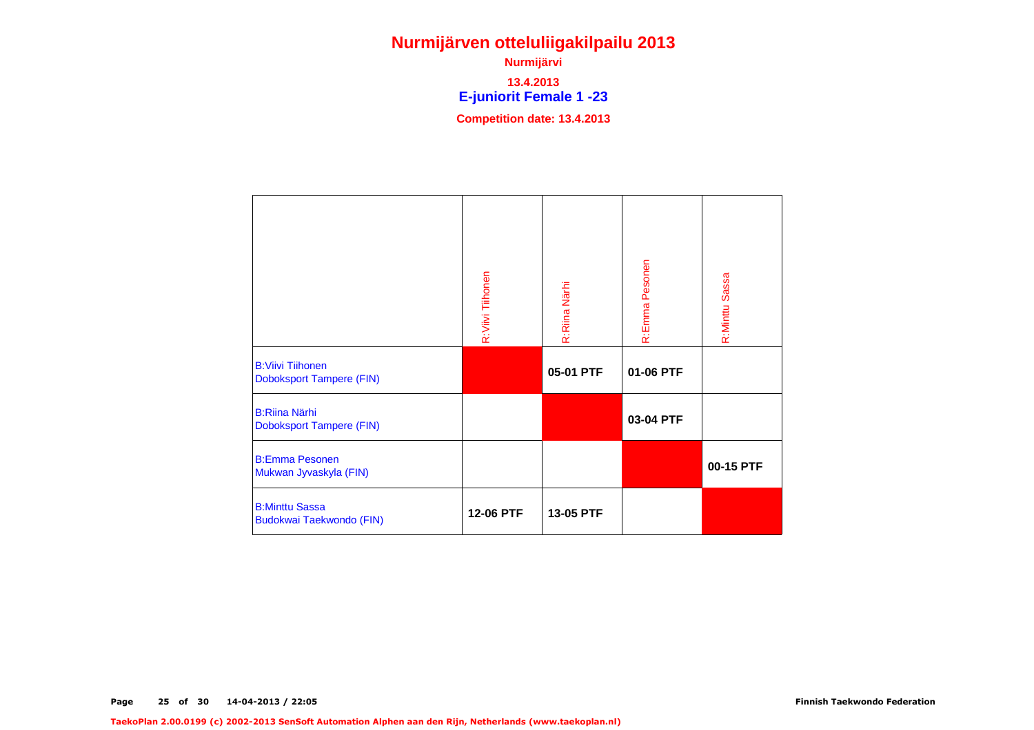**E-juniorit Female 1 -23 Nurmijärvi13.4.2013**

**Competition date: 13.4.2013**

|                                                            | R:Viivi Tiihonen | R:Riina Närhi | R:Emma Pesonen | R:Minttu Sassa |
|------------------------------------------------------------|------------------|---------------|----------------|----------------|
| <b>B:Viivi Tiihonen</b><br><b>Doboksport Tampere (FIN)</b> |                  | 05-01 PTF     | 01-06 PTF      |                |
| <b>B:Riina Närhi</b><br><b>Doboksport Tampere (FIN)</b>    |                  |               | 03-04 PTF      |                |
| <b>B:Emma Pesonen</b><br>Mukwan Jyvaskyla (FIN)            |                  |               |                | 00-15 PTF      |
| <b>B:Minttu Sassa</b><br>Budokwai Taekwondo (FIN)          | 12-06 PTF        | 13-05 PTF     |                |                |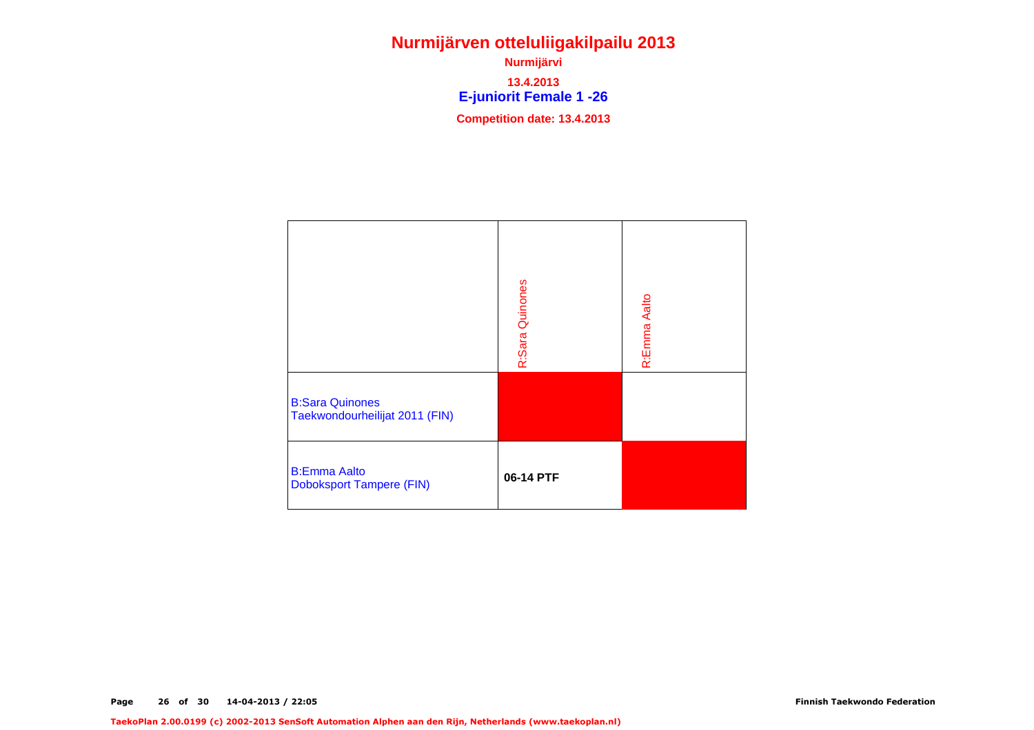**E-juniorit Female 1 -26 Nurmijärvi13.4.2013Competition date: 13.4.2013**

| <b>B:Sara Quinones</b><br>Taekwondourheilijat 2011 (FIN) | R:Sara Quinones | R:Emma Aalto |
|----------------------------------------------------------|-----------------|--------------|
| <b>B:Emma Aalto</b><br><b>Doboksport Tampere (FIN)</b>   | 06-14 PTF       |              |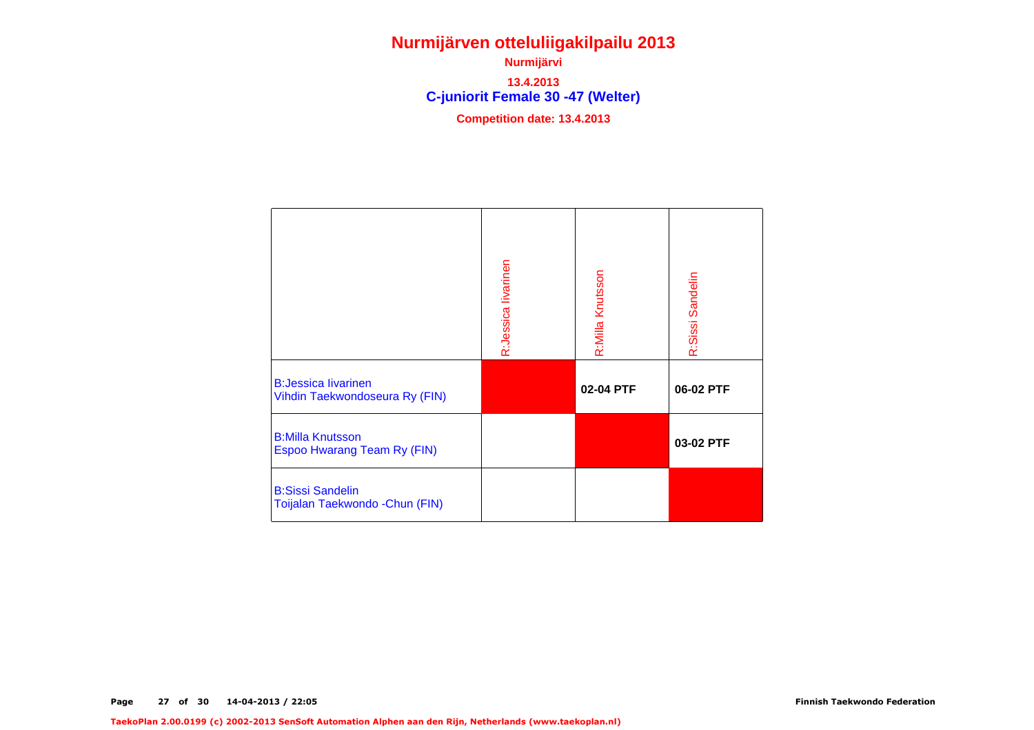**C-juniorit Female 30 -47 (Welter) Nurmijärvi13.4.2013Competition date: 13.4.2013**

R:Jessica livarinen R:Jessica Iivarinen R:Milla Knutsson R:Milla Knutsson R:Sissi Sandelin R:Sissi Sandelin B:Jessica Iivarinen**02-04 PTF06-02 PTF** Vihdin Taekwondoseura Ry (FIN)B:Milla Knutsson**03-02 PTF** Espoo Hwarang Team Ry (FIN)B:Sissi SandelinToijalan Taekwondo -Chun (FIN)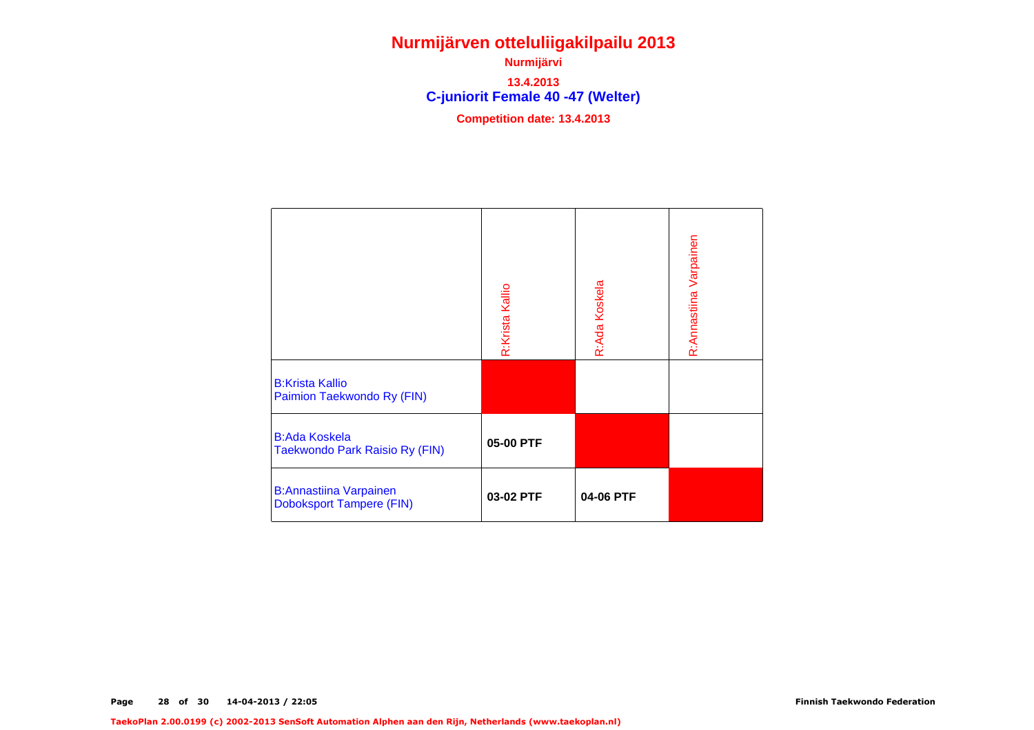**C-juniorit Female 40 -47 (Welter) Nurmijärvi13.4.2013Competition date: 13.4.2013**

R:Annastiina Varpainen R:Annastiina Varpainen R:Ada Koskela R:Ada Koskela R:Krista Kallio R:Krista Kallio B:Krista Kallio Paimion Taekwondo Ry (FIN)B:Ada Koskela**05-00 PTF** Taekwondo Park Raisio Ry (FIN)B:Annastiina Varpainen**03-02 PTF04-06 PTF**Doboksport Tampere (FIN)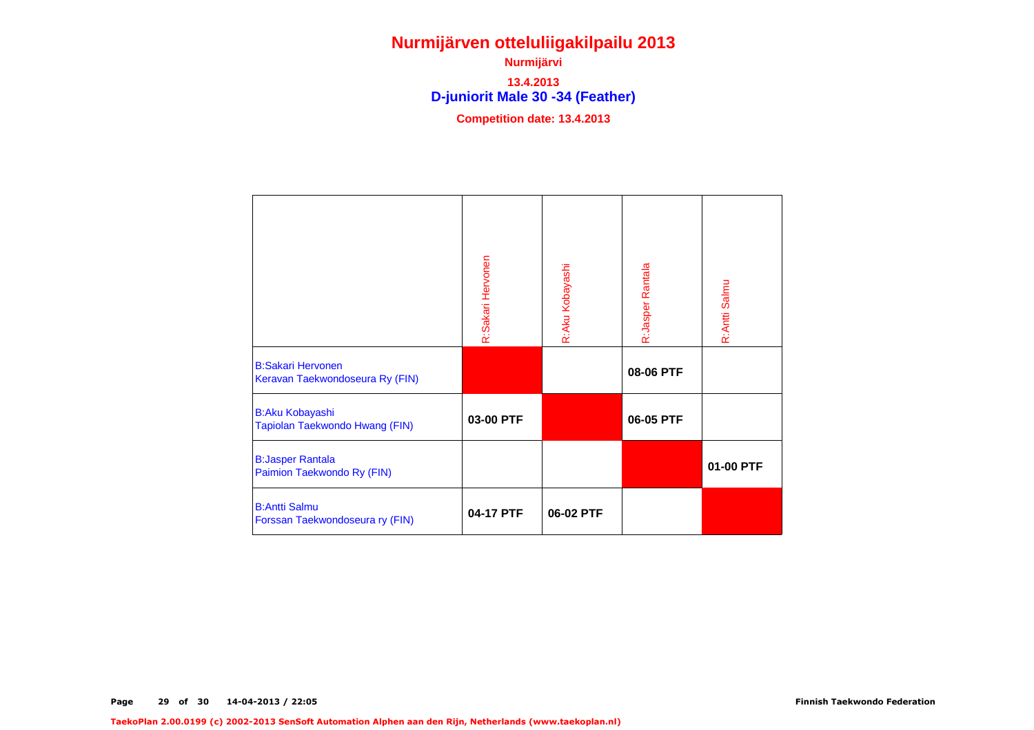**D-juniorit Male 30 -34 (Feather) Nurmijärvi13.4.2013Competition date: 13.4.2013**

R:Sakari Hervonen R:Sakari Hervonen R:Aku Kobayashi R:Jasper Rantala R:Jasper Rantala R:Aku Kobayashi R:Antti Salmu R:Antti Salmu B:Sakari Hervonen**08-06 PTF** Keravan Taekwondoseura Ry (FIN)B:Aku Kobayashi**03-00 PTF06-05 PTF** Tapiolan Taekwondo Hwang (FIN)B:Jasper Rantala**01-00 PTF** Paimion Taekwondo Ry (FIN)B:Antti Salmu**04-17 PTF06-02 PTF**Forssan Taekwondoseura ry (FIN)

TaekoPlan 2.00.0199 (c) 2002-2013 SenSoft Automation Alphen aan den Rijn, Netherlands (www.taekoplan.nl)